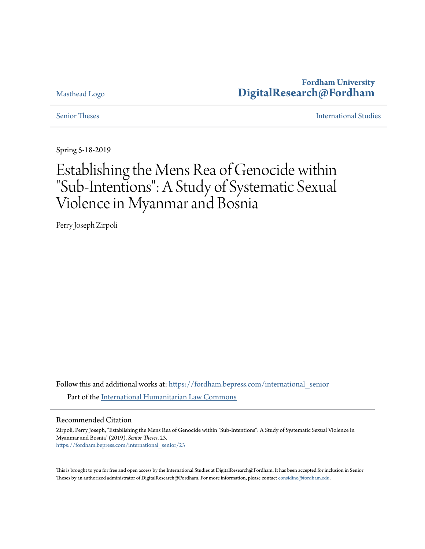# **Fordham University [DigitalResearch@Fordham](https://fordham.bepress.com?utm_source=fordham.bepress.com%2Finternational_senior%2F23&utm_medium=PDF&utm_campaign=PDFCoverPages)**

## Masthead Logo

[Senior Theses](https://fordham.bepress.com/international_senior?utm_source=fordham.bepress.com%2Finternational_senior%2F23&utm_medium=PDF&utm_campaign=PDFCoverPages) [International Studies](https://fordham.bepress.com/international?utm_source=fordham.bepress.com%2Finternational_senior%2F23&utm_medium=PDF&utm_campaign=PDFCoverPages)

Spring 5-18-2019

# Establishing the Mens Rea of Genocide within "Sub-Intentions": A Study of Systematic Sexual Violence in Myanmar and Bosnia

Perry Joseph Zirpoli

Follow this and additional works at: [https://fordham.bepress.com/international\\_senior](https://fordham.bepress.com/international_senior?utm_source=fordham.bepress.com%2Finternational_senior%2F23&utm_medium=PDF&utm_campaign=PDFCoverPages) Part of the [International Humanitarian Law Commons](http://network.bepress.com/hgg/discipline/1330?utm_source=fordham.bepress.com%2Finternational_senior%2F23&utm_medium=PDF&utm_campaign=PDFCoverPages)

#### Recommended Citation

Zirpoli, Perry Joseph, "Establishing the Mens Rea of Genocide within "Sub-Intentions": A Study of Systematic Sexual Violence in Myanmar and Bosnia" (2019). *Senior Theses*. 23. [https://fordham.bepress.com/international\\_senior/23](https://fordham.bepress.com/international_senior/23?utm_source=fordham.bepress.com%2Finternational_senior%2F23&utm_medium=PDF&utm_campaign=PDFCoverPages)

This is brought to you for free and open access by the International Studies at DigitalResearch@Fordham. It has been accepted for inclusion in Senior Theses by an authorized administrator of DigitalResearch@Fordham. For more information, please contact [considine@fordham.edu.](mailto:considine@fordham.edu)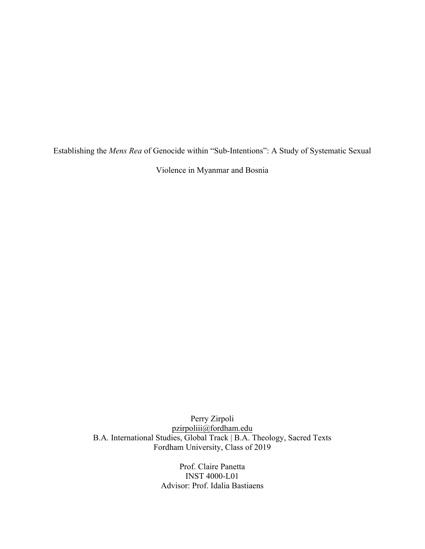Establishing the *Mens Rea* of Genocide within "Sub-Intentions": A Study of Systematic Sexual

Violence in Myanmar and Bosnia

Perry Zirpoli pzirpoliii@fordham.edu B.A. International Studies, Global Track | B.A. Theology, Sacred Texts Fordham University, Class of 2019

> Prof. Claire Panetta INST 4000-L01 Advisor: Prof. Idalia Bastiaens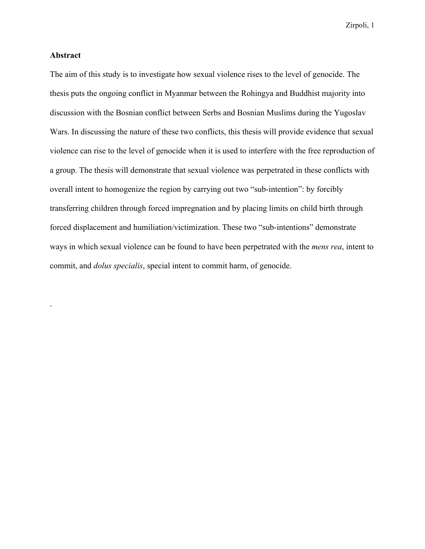#### **Abstract**

.

The aim of this study is to investigate how sexual violence rises to the level of genocide. The thesis puts the ongoing conflict in Myanmar between the Rohingya and Buddhist majority into discussion with the Bosnian conflict between Serbs and Bosnian Muslims during the Yugoslav Wars. In discussing the nature of these two conflicts, this thesis will provide evidence that sexual violence can rise to the level of genocide when it is used to interfere with the free reproduction of a group. The thesis will demonstrate that sexual violence was perpetrated in these conflicts with overall intent to homogenize the region by carrying out two "sub-intention": by forcibly transferring children through forced impregnation and by placing limits on child birth through forced displacement and humiliation/victimization. These two "sub-intentions" demonstrate ways in which sexual violence can be found to have been perpetrated with the *mens rea*, intent to commit, and *dolus specialis*, special intent to commit harm, of genocide.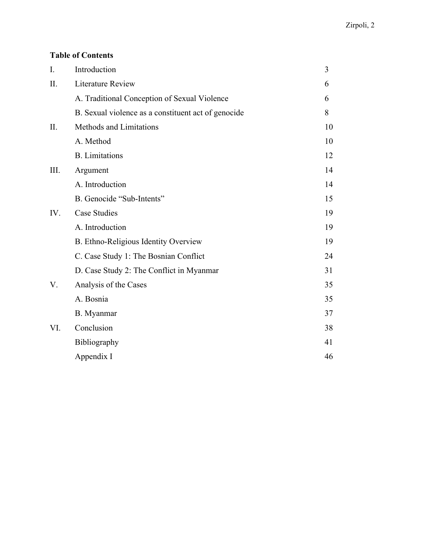# **Table of Contents**

| $\overline{I}$ . | Introduction                                        | $\overline{3}$ |
|------------------|-----------------------------------------------------|----------------|
| II.              | <b>Literature Review</b>                            | 6              |
|                  | A. Traditional Conception of Sexual Violence        | 6              |
|                  | B. Sexual violence as a constituent act of genocide | 8              |
| II.              | Methods and Limitations                             | 10             |
|                  | A. Method                                           | 10             |
|                  | <b>B.</b> Limitations                               | 12             |
| III.             | Argument                                            | 14             |
|                  | A. Introduction                                     | 14             |
|                  | B. Genocide "Sub-Intents"                           | 15             |
| IV.              | <b>Case Studies</b>                                 | 19             |
|                  | A. Introduction                                     | 19             |
|                  | B. Ethno-Religious Identity Overview                | 19             |
|                  | C. Case Study 1: The Bosnian Conflict               | 24             |
|                  | D. Case Study 2: The Conflict in Myanmar            | 31             |
| V.               | Analysis of the Cases                               | 35             |
|                  | A. Bosnia                                           | 35             |
|                  | B. Myanmar                                          | 37             |
| VI.              | Conclusion                                          | 38             |
|                  | Bibliography                                        | 41             |
|                  | Appendix I                                          | 46             |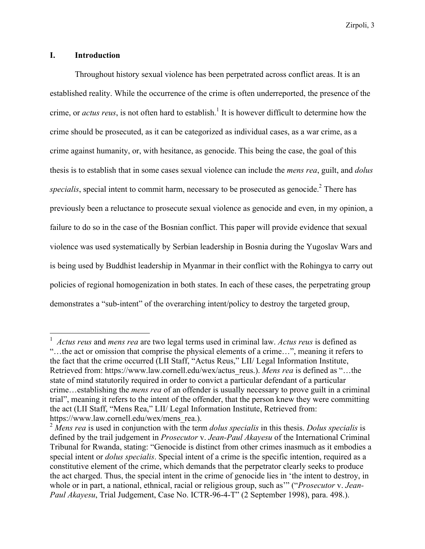#### **I. Introduction**

Throughout history sexual violence has been perpetrated across conflict areas. It is an established reality. While the occurrence of the crime is often underreported, the presence of the crime, or *actus reus*, is not often hard to establish.<sup>1</sup> It is however difficult to determine how the crime should be prosecuted, as it can be categorized as individual cases, as a war crime, as a crime against humanity, or, with hesitance, as genocide. This being the case, the goal of this thesis is to establish that in some cases sexual violence can include the *mens rea*, guilt, and *dolus*  specialis, special intent to commit harm, necessary to be prosecuted as genocide.<sup>2</sup> There has previously been a reluctance to prosecute sexual violence as genocide and even, in my opinion, a failure to do so in the case of the Bosnian conflict. This paper will provide evidence that sexual violence was used systematically by Serbian leadership in Bosnia during the Yugoslav Wars and is being used by Buddhist leadership in Myanmar in their conflict with the Rohingya to carry out policies of regional homogenization in both states. In each of these cases, the perpetrating group demonstrates a "sub-intent" of the overarching intent/policy to destroy the targeted group,

<sup>1</sup> *Actus reus* and *mens rea* are two legal terms used in criminal law. *Actus reus* is defined as "…the act or omission that comprise the physical elements of a crime…", meaning it refers to the fact that the crime occurred (LII Staff, "Actus Reus," LII/ Legal Information Institute, Retrieved from: https://www.law.cornell.edu/wex/actus\_reus.). *Mens rea* is defined as "…the state of mind statutorily required in order to convict a particular defendant of a particular crime…establishing the *mens rea* of an offender is usually necessary to prove guilt in a criminal trial", meaning it refers to the intent of the offender, that the person knew they were committing the act (LII Staff, "Mens Rea," LII/ Legal Information Institute, Retrieved from: https://www.law.cornell.edu/wex/mens\_rea.).

<sup>2</sup> *Mens rea* is used in conjunction with the term *dolus specialis* in this thesis. *Dolus specialis* is defined by the trail judgement in *Prosecutor* v. *Jean-Paul Akayesu* of the International Criminal Tribunal for Rwanda, stating: "Genocide is distinct from other crimes inasmuch as it embodies a special intent or *dolus specialis*. Special intent of a crime is the specific intention, required as a constitutive element of the crime, which demands that the perpetrator clearly seeks to produce the act charged. Thus, the special intent in the crime of genocide lies in 'the intent to destroy, in whole or in part, a national, ethnical, racial or religious group, such as'" ("*Prosecutor* v. *Jean-Paul Akayesu*, Trial Judgement, Case No. ICTR-96-4-T" (2 September 1998), para. 498.).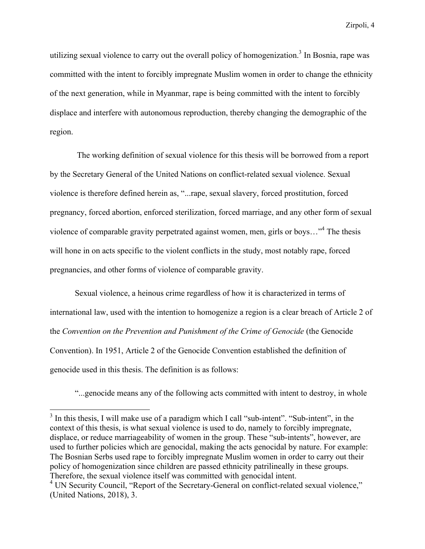utilizing sexual violence to carry out the overall policy of homogenization.<sup>3</sup> In Bosnia, rape was committed with the intent to forcibly impregnate Muslim women in order to change the ethnicity of the next generation, while in Myanmar, rape is being committed with the intent to forcibly displace and interfere with autonomous reproduction, thereby changing the demographic of the region.

The working definition of sexual violence for this thesis will be borrowed from a report by the Secretary General of the United Nations on conflict-related sexual violence. Sexual violence is therefore defined herein as, "...rape, sexual slavery, forced prostitution, forced pregnancy, forced abortion, enforced sterilization, forced marriage, and any other form of sexual violence of comparable gravity perpetrated against women, men, girls or boys…"<sup>4</sup> The thesis will hone in on acts specific to the violent conflicts in the study, most notably rape, forced pregnancies, and other forms of violence of comparable gravity.

Sexual violence, a heinous crime regardless of how it is characterized in terms of international law, used with the intention to homogenize a region is a clear breach of Article 2 of the *Convention on the Prevention and Punishment of the Crime of Genocide* (the Genocide Convention). In 1951, Article 2 of the Genocide Convention established the definition of genocide used in this thesis. The definition is as follows:

"...genocide means any of the following acts committed with intent to destroy, in whole

 $3$  In this thesis, I will make use of a paradigm which I call "sub-intent". "Sub-intent", in the context of this thesis, is what sexual violence is used to do, namely to forcibly impregnate, displace, or reduce marriageability of women in the group. These "sub-intents", however, are used to further policies which are genocidal, making the acts genocidal by nature. For example: The Bosnian Serbs used rape to forcibly impregnate Muslim women in order to carry out their policy of homogenization since children are passed ethnicity patrilineally in these groups. Therefore, the sexual violence itself was committed with genocidal intent.

<sup>&</sup>lt;sup>4</sup> UN Security Council, "Report of the Secretary-General on conflict-related sexual violence," (United Nations, 2018), 3.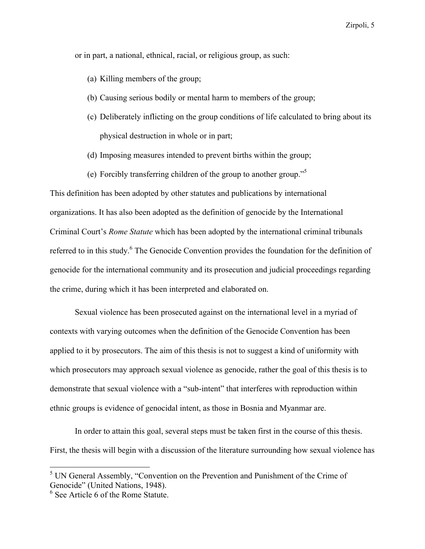or in part, a national, ethnical, racial, or religious group, as such:

- (a) Killing members of the group;
- (b) Causing serious bodily or mental harm to members of the group;
- (c) Deliberately inflicting on the group conditions of life calculated to bring about its physical destruction in whole or in part;
- (d) Imposing measures intended to prevent births within the group;
- (e) Forcibly transferring children of the group to another group."<sup>5</sup>

This definition has been adopted by other statutes and publications by international organizations. It has also been adopted as the definition of genocide by the International Criminal Court's *Rome Statute* which has been adopted by the international criminal tribunals referred to in this study.<sup>6</sup> The Genocide Convention provides the foundation for the definition of genocide for the international community and its prosecution and judicial proceedings regarding the crime, during which it has been interpreted and elaborated on.

Sexual violence has been prosecuted against on the international level in a myriad of contexts with varying outcomes when the definition of the Genocide Convention has been applied to it by prosecutors. The aim of this thesis is not to suggest a kind of uniformity with which prosecutors may approach sexual violence as genocide, rather the goal of this thesis is to demonstrate that sexual violence with a "sub-intent" that interferes with reproduction within ethnic groups is evidence of genocidal intent, as those in Bosnia and Myanmar are.

In order to attain this goal, several steps must be taken first in the course of this thesis. First, the thesis will begin with a discussion of the literature surrounding how sexual violence has

<sup>5</sup> UN General Assembly, "Convention on the Prevention and Punishment of the Crime of Genocide" (United Nations, 1948).

<sup>&</sup>lt;sup>6</sup> See Article 6 of the Rome Statute.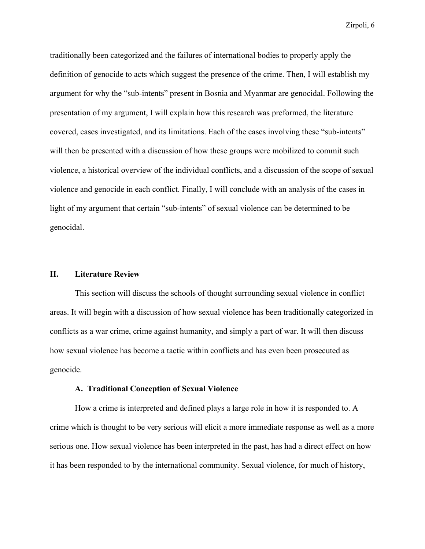traditionally been categorized and the failures of international bodies to properly apply the definition of genocide to acts which suggest the presence of the crime. Then, I will establish my argument for why the "sub-intents" present in Bosnia and Myanmar are genocidal. Following the presentation of my argument, I will explain how this research was preformed, the literature covered, cases investigated, and its limitations. Each of the cases involving these "sub-intents" will then be presented with a discussion of how these groups were mobilized to commit such violence, a historical overview of the individual conflicts, and a discussion of the scope of sexual violence and genocide in each conflict. Finally, I will conclude with an analysis of the cases in light of my argument that certain "sub-intents" of sexual violence can be determined to be genocidal.

#### **II. Literature Review**

This section will discuss the schools of thought surrounding sexual violence in conflict areas. It will begin with a discussion of how sexual violence has been traditionally categorized in conflicts as a war crime, crime against humanity, and simply a part of war. It will then discuss how sexual violence has become a tactic within conflicts and has even been prosecuted as genocide.

#### **A. Traditional Conception of Sexual Violence**

How a crime is interpreted and defined plays a large role in how it is responded to. A crime which is thought to be very serious will elicit a more immediate response as well as a more serious one. How sexual violence has been interpreted in the past, has had a direct effect on how it has been responded to by the international community. Sexual violence, for much of history,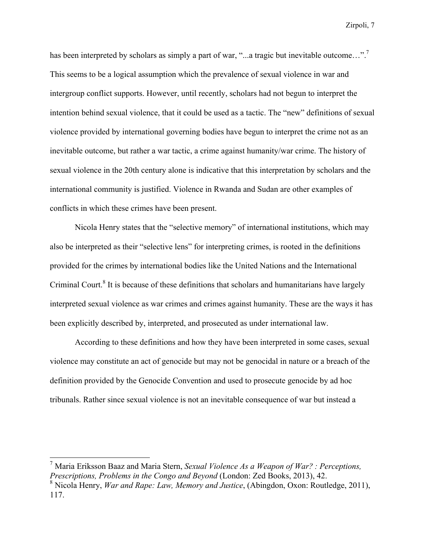has been interpreted by scholars as simply a part of war, "...a tragic but inevitable outcome...".<sup>7</sup> This seems to be a logical assumption which the prevalence of sexual violence in war and intergroup conflict supports. However, until recently, scholars had not begun to interpret the intention behind sexual violence, that it could be used as a tactic. The "new" definitions of sexual violence provided by international governing bodies have begun to interpret the crime not as an inevitable outcome, but rather a war tactic, a crime against humanity/war crime. The history of sexual violence in the 20th century alone is indicative that this interpretation by scholars and the international community is justified. Violence in Rwanda and Sudan are other examples of conflicts in which these crimes have been present.

Nicola Henry states that the "selective memory" of international institutions, which may also be interpreted as their "selective lens" for interpreting crimes, is rooted in the definitions provided for the crimes by international bodies like the United Nations and the International Criminal Court.<sup>8</sup> It is because of these definitions that scholars and humanitarians have largely interpreted sexual violence as war crimes and crimes against humanity. These are the ways it has been explicitly described by, interpreted, and prosecuted as under international law.

According to these definitions and how they have been interpreted in some cases, sexual violence may constitute an act of genocide but may not be genocidal in nature or a breach of the definition provided by the Genocide Convention and used to prosecute genocide by ad hoc tribunals. Rather since sexual violence is not an inevitable consequence of war but instead a

<sup>7</sup> Maria Eriksson Baaz and Maria Stern, *Sexual Violence As a Weapon of War? : Perceptions, Prescriptions, Problems in the Congo and Beyond* (London: Zed Books, 2013), 42.

<sup>8</sup> Nicola Henry, *War and Rape: Law, Memory and Justice*, (Abingdon, Oxon: Routledge, 2011), 117.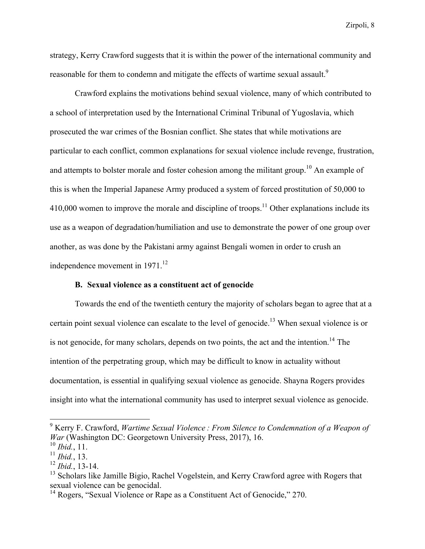strategy, Kerry Crawford suggests that it is within the power of the international community and reasonable for them to condemn and mitigate the effects of wartime sexual assault.<sup>9</sup>

Crawford explains the motivations behind sexual violence, many of which contributed to a school of interpretation used by the International Criminal Tribunal of Yugoslavia, which prosecuted the war crimes of the Bosnian conflict. She states that while motivations are particular to each conflict, common explanations for sexual violence include revenge, frustration, and attempts to bolster morale and foster cohesion among the militant group.<sup>10</sup> An example of this is when the Imperial Japanese Army produced a system of forced prostitution of 50,000 to  $410,000$  women to improve the morale and discipline of troops.<sup>11</sup> Other explanations include its use as a weapon of degradation/humiliation and use to demonstrate the power of one group over another, as was done by the Pakistani army against Bengali women in order to crush an independence movement in 1971.<sup>12</sup>

#### **B. Sexual violence as a constituent act of genocide**

Towards the end of the twentieth century the majority of scholars began to agree that at a certain point sexual violence can escalate to the level of genocide.13 When sexual violence is or is not genocide, for many scholars, depends on two points, the act and the intention.<sup>14</sup> The intention of the perpetrating group, which may be difficult to know in actuality without documentation, is essential in qualifying sexual violence as genocide. Shayna Rogers provides insight into what the international community has used to interpret sexual violence as genocide.

<sup>9</sup> Kerry F. Crawford, *Wartime Sexual Violence : From Silence to Condemnation of a Weapon of War* (Washington DC: Georgetown University Press, 2017), 16.

<sup>10</sup> *Ibid.*, 11.

<sup>11</sup> *Ibid.*, 13.

<sup>12</sup> *Ibid.*, 13-14.

<sup>&</sup>lt;sup>13</sup> Scholars like Jamille Bigio, Rachel Vogelstein, and Kerry Crawford agree with Rogers that sexual violence can be genocidal.

<sup>&</sup>lt;sup>14</sup> Rogers, "Sexual Violence or Rape as a Constituent Act of Genocide," 270.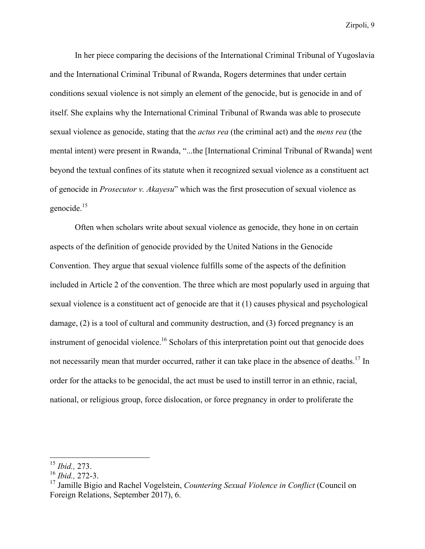In her piece comparing the decisions of the International Criminal Tribunal of Yugoslavia and the International Criminal Tribunal of Rwanda, Rogers determines that under certain conditions sexual violence is not simply an element of the genocide, but is genocide in and of itself. She explains why the International Criminal Tribunal of Rwanda was able to prosecute sexual violence as genocide, stating that the *actus rea* (the criminal act) and the *mens rea* (the mental intent) were present in Rwanda, "...the [International Criminal Tribunal of Rwanda] went beyond the textual confines of its statute when it recognized sexual violence as a constituent act of genocide in *Prosecutor v. Akayesu*" which was the first prosecution of sexual violence as genocide. $15$ 

Often when scholars write about sexual violence as genocide, they hone in on certain aspects of the definition of genocide provided by the United Nations in the Genocide Convention. They argue that sexual violence fulfills some of the aspects of the definition included in Article 2 of the convention. The three which are most popularly used in arguing that sexual violence is a constituent act of genocide are that it (1) causes physical and psychological damage, (2) is a tool of cultural and community destruction, and (3) forced pregnancy is an instrument of genocidal violence.<sup>16</sup> Scholars of this interpretation point out that genocide does not necessarily mean that murder occurred, rather it can take place in the absence of deaths.<sup>17</sup> In order for the attacks to be genocidal, the act must be used to instill terror in an ethnic, racial, national, or religious group, force dislocation, or force pregnancy in order to proliferate the

<sup>15</sup> *Ibid.,* 273.

<sup>16</sup> *Ibid.,* 272-3.

<sup>17</sup> Jamille Bigio and Rachel Vogelstein, *Countering Sexual Violence in Conflict* (Council on Foreign Relations, September 2017), 6.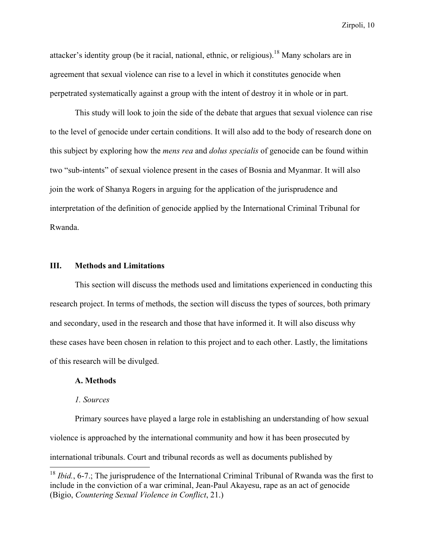attacker's identity group (be it racial, national, ethnic, or religious).18 Many scholars are in agreement that sexual violence can rise to a level in which it constitutes genocide when perpetrated systematically against a group with the intent of destroy it in whole or in part.

This study will look to join the side of the debate that argues that sexual violence can rise to the level of genocide under certain conditions. It will also add to the body of research done on this subject by exploring how the *mens rea* and *dolus specialis* of genocide can be found within two "sub-intents" of sexual violence present in the cases of Bosnia and Myanmar. It will also join the work of Shanya Rogers in arguing for the application of the jurisprudence and interpretation of the definition of genocide applied by the International Criminal Tribunal for Rwanda.

#### **III. Methods and Limitations**

This section will discuss the methods used and limitations experienced in conducting this research project. In terms of methods, the section will discuss the types of sources, both primary and secondary, used in the research and those that have informed it. It will also discuss why these cases have been chosen in relation to this project and to each other. Lastly, the limitations of this research will be divulged.

#### **A. Methods**

#### *1. Sources*

Primary sources have played a large role in establishing an understanding of how sexual violence is approached by the international community and how it has been prosecuted by international tribunals. Court and tribunal records as well as documents published by

<sup>&</sup>lt;sup>18</sup> *Ibid.*, 6-7.; The jurisprudence of the International Criminal Tribunal of Rwanda was the first to include in the conviction of a war criminal, Jean-Paul Akayesu, rape as an act of genocide (Bigio, *Countering Sexual Violence in Conflict*, 21.)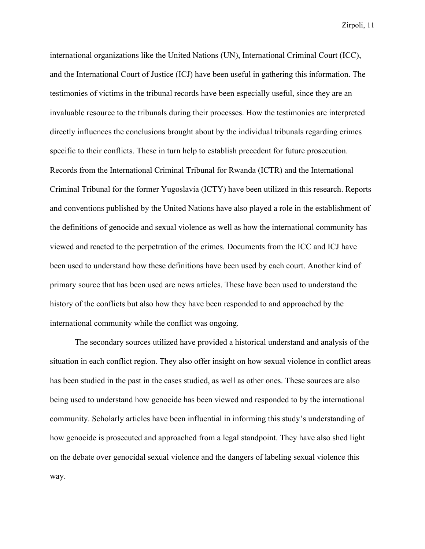international organizations like the United Nations (UN), International Criminal Court (ICC), and the International Court of Justice (ICJ) have been useful in gathering this information. The testimonies of victims in the tribunal records have been especially useful, since they are an invaluable resource to the tribunals during their processes. How the testimonies are interpreted directly influences the conclusions brought about by the individual tribunals regarding crimes specific to their conflicts. These in turn help to establish precedent for future prosecution. Records from the International Criminal Tribunal for Rwanda (ICTR) and the International Criminal Tribunal for the former Yugoslavia (ICTY) have been utilized in this research. Reports and conventions published by the United Nations have also played a role in the establishment of the definitions of genocide and sexual violence as well as how the international community has viewed and reacted to the perpetration of the crimes. Documents from the ICC and ICJ have been used to understand how these definitions have been used by each court. Another kind of primary source that has been used are news articles. These have been used to understand the history of the conflicts but also how they have been responded to and approached by the international community while the conflict was ongoing.

The secondary sources utilized have provided a historical understand and analysis of the situation in each conflict region. They also offer insight on how sexual violence in conflict areas has been studied in the past in the cases studied, as well as other ones. These sources are also being used to understand how genocide has been viewed and responded to by the international community. Scholarly articles have been influential in informing this study's understanding of how genocide is prosecuted and approached from a legal standpoint. They have also shed light on the debate over genocidal sexual violence and the dangers of labeling sexual violence this way.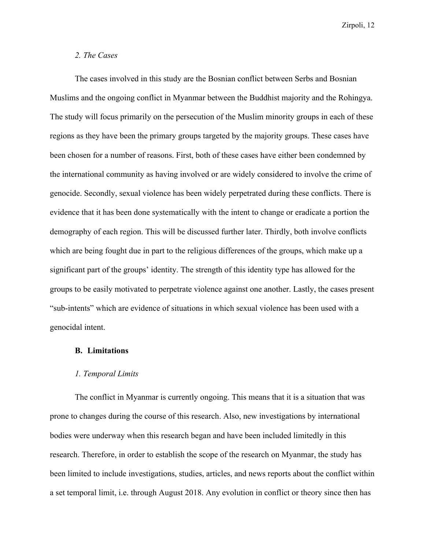#### *2. The Cases*

The cases involved in this study are the Bosnian conflict between Serbs and Bosnian Muslims and the ongoing conflict in Myanmar between the Buddhist majority and the Rohingya. The study will focus primarily on the persecution of the Muslim minority groups in each of these regions as they have been the primary groups targeted by the majority groups. These cases have been chosen for a number of reasons. First, both of these cases have either been condemned by the international community as having involved or are widely considered to involve the crime of genocide. Secondly, sexual violence has been widely perpetrated during these conflicts. There is evidence that it has been done systematically with the intent to change or eradicate a portion the demography of each region. This will be discussed further later. Thirdly, both involve conflicts which are being fought due in part to the religious differences of the groups, which make up a significant part of the groups' identity. The strength of this identity type has allowed for the groups to be easily motivated to perpetrate violence against one another. Lastly, the cases present "sub-intents" which are evidence of situations in which sexual violence has been used with a genocidal intent.

#### **B. Limitations**

#### *1. Temporal Limits*

The conflict in Myanmar is currently ongoing. This means that it is a situation that was prone to changes during the course of this research. Also, new investigations by international bodies were underway when this research began and have been included limitedly in this research. Therefore, in order to establish the scope of the research on Myanmar, the study has been limited to include investigations, studies, articles, and news reports about the conflict within a set temporal limit, i.e. through August 2018. Any evolution in conflict or theory since then has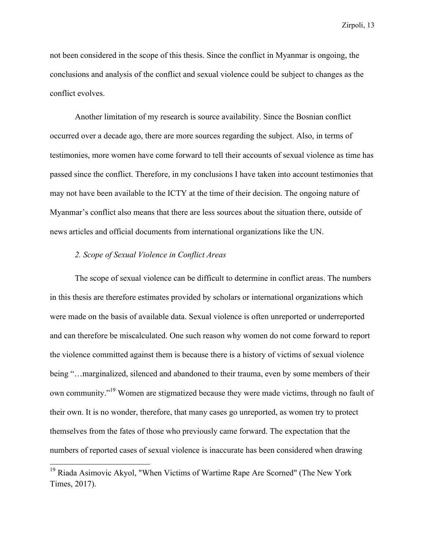not been considered in the scope of this thesis. Since the conflict in Myanmar is ongoing, the conclusions and analysis of the conflict and sexual violence could be subject to changes as the conflict evolves.

Another limitation of my research is source availability. Since the Bosnian conflict occurred over a decade ago, there are more sources regarding the subject. Also, in terms of testimonies, more women have come forward to tell their accounts of sexual violence as time has passed since the conflict. Therefore, in my conclusions I have taken into account testimonies that may not have been available to the ICTY at the time of their decision. The ongoing nature of Myanmar's conflict also means that there are less sources about the situation there, outside of news articles and official documents from international organizations like the UN.

#### *2. Scope of Sexual Violence in Conflict Areas*

The scope of sexual violence can be difficult to determine in conflict areas. The numbers in this thesis are therefore estimates provided by scholars or international organizations which were made on the basis of available data. Sexual violence is often unreported or underreported and can therefore be miscalculated. One such reason why women do not come forward to report the violence committed against them is because there is a history of victims of sexual violence being "…marginalized, silenced and abandoned to their trauma, even by some members of their own community."<sup>19</sup> Women are stigmatized because they were made victims, through no fault of their own. It is no wonder, therefore, that many cases go unreported, as women try to protect themselves from the fates of those who previously came forward. The expectation that the numbers of reported cases of sexual violence is inaccurate has been considered when drawing

<sup>19</sup> Riada Asimovic Akyol, "When Victims of Wartime Rape Are Scorned" (The New York Times, 2017).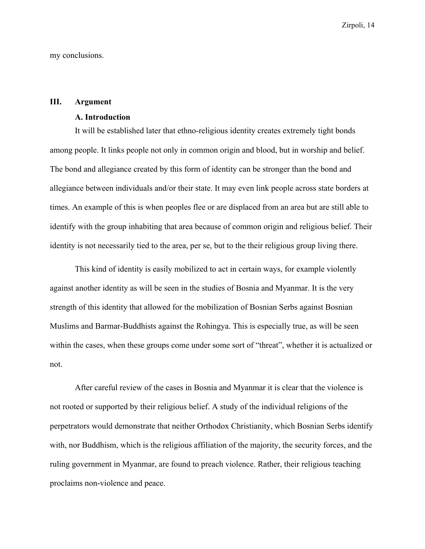my conclusions.

#### **III. Argument**

#### **A. Introduction**

It will be established later that ethno-religious identity creates extremely tight bonds among people. It links people not only in common origin and blood, but in worship and belief. The bond and allegiance created by this form of identity can be stronger than the bond and allegiance between individuals and/or their state. It may even link people across state borders at times. An example of this is when peoples flee or are displaced from an area but are still able to identify with the group inhabiting that area because of common origin and religious belief. Their identity is not necessarily tied to the area, per se, but to the their religious group living there.

This kind of identity is easily mobilized to act in certain ways, for example violently against another identity as will be seen in the studies of Bosnia and Myanmar. It is the very strength of this identity that allowed for the mobilization of Bosnian Serbs against Bosnian Muslims and Barmar-Buddhists against the Rohingya. This is especially true, as will be seen within the cases, when these groups come under some sort of "threat", whether it is actualized or not.

After careful review of the cases in Bosnia and Myanmar it is clear that the violence is not rooted or supported by their religious belief. A study of the individual religions of the perpetrators would demonstrate that neither Orthodox Christianity, which Bosnian Serbs identify with, nor Buddhism, which is the religious affiliation of the majority, the security forces, and the ruling government in Myanmar, are found to preach violence. Rather, their religious teaching proclaims non-violence and peace.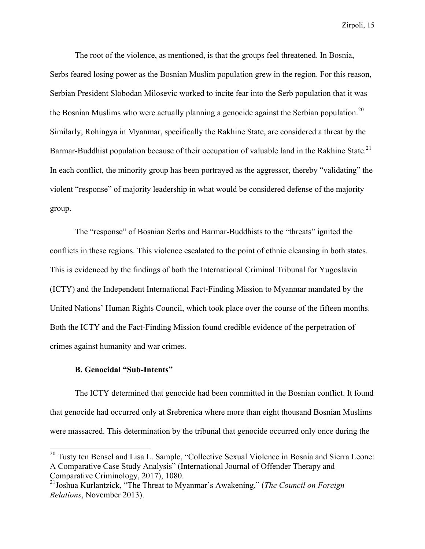The root of the violence, as mentioned, is that the groups feel threatened. In Bosnia, Serbs feared losing power as the Bosnian Muslim population grew in the region. For this reason, Serbian President Slobodan Milosevic worked to incite fear into the Serb population that it was the Bosnian Muslims who were actually planning a genocide against the Serbian population.<sup>20</sup> Similarly, Rohingya in Myanmar, specifically the Rakhine State, are considered a threat by the Barmar-Buddhist population because of their occupation of valuable land in the Rakhine State.<sup>21</sup> In each conflict, the minority group has been portrayed as the aggressor, thereby "validating" the violent "response" of majority leadership in what would be considered defense of the majority group.

The "response" of Bosnian Serbs and Barmar-Buddhists to the "threats" ignited the conflicts in these regions. This violence escalated to the point of ethnic cleansing in both states. This is evidenced by the findings of both the International Criminal Tribunal for Yugoslavia (ICTY) and the Independent International Fact-Finding Mission to Myanmar mandated by the United Nations' Human Rights Council, which took place over the course of the fifteen months. Both the ICTY and the Fact-Finding Mission found credible evidence of the perpetration of crimes against humanity and war crimes.

#### **B. Genocidal "Sub-Intents"**

The ICTY determined that genocide had been committed in the Bosnian conflict. It found that genocide had occurred only at Srebrenica where more than eight thousand Bosnian Muslims were massacred. This determination by the tribunal that genocide occurred only once during the

<sup>&</sup>lt;sup>20</sup> Tusty ten Bensel and Lisa L. Sample, "Collective Sexual Violence in Bosnia and Sierra Leone: A Comparative Case Study Analysis" (International Journal of Offender Therapy and Comparative Criminology, 2017), 1080.

<sup>21</sup>Joshua Kurlantzick, "The Threat to Myanmar's Awakening," (*The Council on Foreign Relations*, November 2013).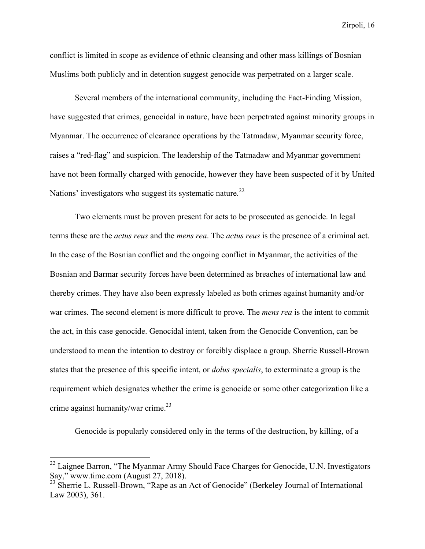conflict is limited in scope as evidence of ethnic cleansing and other mass killings of Bosnian Muslims both publicly and in detention suggest genocide was perpetrated on a larger scale.

Several members of the international community, including the Fact-Finding Mission, have suggested that crimes, genocidal in nature, have been perpetrated against minority groups in Myanmar. The occurrence of clearance operations by the Tatmadaw, Myanmar security force, raises a "red-flag" and suspicion. The leadership of the Tatmadaw and Myanmar government have not been formally charged with genocide, however they have been suspected of it by United Nations' investigators who suggest its systematic nature.<sup>22</sup>

Two elements must be proven present for acts to be prosecuted as genocide. In legal terms these are the *actus reus* and the *mens rea*. The *actus reus* is the presence of a criminal act. In the case of the Bosnian conflict and the ongoing conflict in Myanmar, the activities of the Bosnian and Barmar security forces have been determined as breaches of international law and thereby crimes. They have also been expressly labeled as both crimes against humanity and/or war crimes. The second element is more difficult to prove. The *mens rea* is the intent to commit the act, in this case genocide. Genocidal intent, taken from the Genocide Convention, can be understood to mean the intention to destroy or forcibly displace a group. Sherrie Russell-Brown states that the presence of this specific intent, or *dolus specialis*, to exterminate a group is the requirement which designates whether the crime is genocide or some other categorization like a crime against humanity/war crime. $^{23}$ 

Genocide is popularly considered only in the terms of the destruction, by killing, of a

<sup>&</sup>lt;sup>22</sup> Laignee Barron, "The Myanmar Army Should Face Charges for Genocide, U.N. Investigators Say," www.time.com (August 27, 2018).

<sup>&</sup>lt;sup>23</sup> Sherrie L. Russell-Brown, "Rape as an Act of Genocide" (Berkeley Journal of International Law 2003), 361.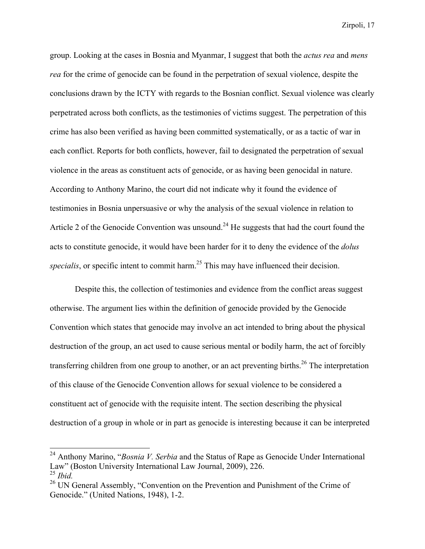group. Looking at the cases in Bosnia and Myanmar, I suggest that both the *actus rea* and *mens rea* for the crime of genocide can be found in the perpetration of sexual violence, despite the conclusions drawn by the ICTY with regards to the Bosnian conflict. Sexual violence was clearly perpetrated across both conflicts, as the testimonies of victims suggest. The perpetration of this crime has also been verified as having been committed systematically, or as a tactic of war in each conflict. Reports for both conflicts, however, fail to designated the perpetration of sexual violence in the areas as constituent acts of genocide, or as having been genocidal in nature. According to Anthony Marino, the court did not indicate why it found the evidence of testimonies in Bosnia unpersuasive or why the analysis of the sexual violence in relation to Article 2 of the Genocide Convention was unsound.<sup>24</sup> He suggests that had the court found the acts to constitute genocide, it would have been harder for it to deny the evidence of the *dolus*  specialis, or specific intent to commit harm.<sup>25</sup> This may have influenced their decision.

Despite this, the collection of testimonies and evidence from the conflict areas suggest otherwise. The argument lies within the definition of genocide provided by the Genocide Convention which states that genocide may involve an act intended to bring about the physical destruction of the group, an act used to cause serious mental or bodily harm, the act of forcibly transferring children from one group to another, or an act preventing births.<sup>26</sup> The interpretation of this clause of the Genocide Convention allows for sexual violence to be considered a constituent act of genocide with the requisite intent. The section describing the physical destruction of a group in whole or in part as genocide is interesting because it can be interpreted

<sup>24</sup> Anthony Marino, "*Bosnia V. Serbia* and the Status of Rape as Genocide Under International Law" (Boston University International Law Journal, 2009), 226. <sup>25</sup> *Ibid.*

<sup>&</sup>lt;sup>26</sup> UN General Assembly, "Convention on the Prevention and Punishment of the Crime of Genocide." (United Nations, 1948), 1-2.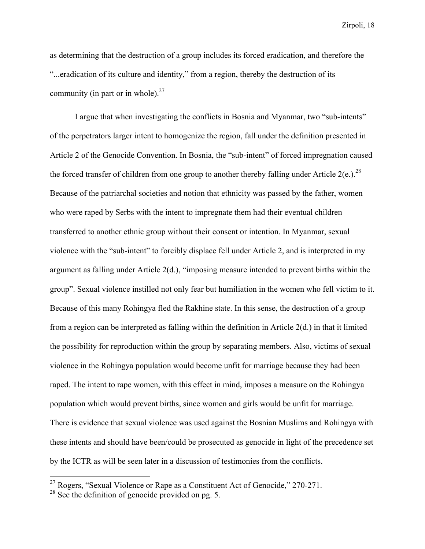as determining that the destruction of a group includes its forced eradication, and therefore the "...eradication of its culture and identity," from a region, thereby the destruction of its community (in part or in whole). $27$ 

I argue that when investigating the conflicts in Bosnia and Myanmar, two "sub-intents" of the perpetrators larger intent to homogenize the region, fall under the definition presented in Article 2 of the Genocide Convention. In Bosnia, the "sub-intent" of forced impregnation caused the forced transfer of children from one group to another thereby falling under Article  $2(e)$ .<sup>28</sup> Because of the patriarchal societies and notion that ethnicity was passed by the father, women who were raped by Serbs with the intent to impregnate them had their eventual children transferred to another ethnic group without their consent or intention. In Myanmar, sexual violence with the "sub-intent" to forcibly displace fell under Article 2, and is interpreted in my argument as falling under Article 2(d.), "imposing measure intended to prevent births within the group". Sexual violence instilled not only fear but humiliation in the women who fell victim to it. Because of this many Rohingya fled the Rakhine state. In this sense, the destruction of a group from a region can be interpreted as falling within the definition in Article 2(d.) in that it limited the possibility for reproduction within the group by separating members. Also, victims of sexual violence in the Rohingya population would become unfit for marriage because they had been raped. The intent to rape women, with this effect in mind, imposes a measure on the Rohingya population which would prevent births, since women and girls would be unfit for marriage. There is evidence that sexual violence was used against the Bosnian Muslims and Rohingya with these intents and should have been/could be prosecuted as genocide in light of the precedence set by the ICTR as will be seen later in a discussion of testimonies from the conflicts.

 $27$  Rogers, "Sexual Violence or Rape as a Constituent Act of Genocide," 270-271.

<sup>&</sup>lt;sup>28</sup> See the definition of genocide provided on pg. 5.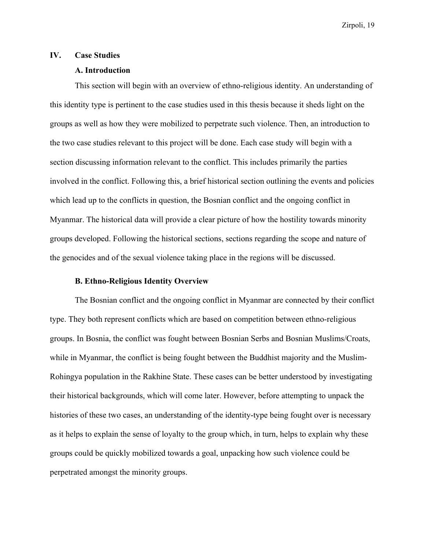#### **IV. Case Studies**

#### **A. Introduction**

This section will begin with an overview of ethno-religious identity. An understanding of this identity type is pertinent to the case studies used in this thesis because it sheds light on the groups as well as how they were mobilized to perpetrate such violence. Then, an introduction to the two case studies relevant to this project will be done. Each case study will begin with a section discussing information relevant to the conflict. This includes primarily the parties involved in the conflict. Following this, a brief historical section outlining the events and policies which lead up to the conflicts in question, the Bosnian conflict and the ongoing conflict in Myanmar. The historical data will provide a clear picture of how the hostility towards minority groups developed. Following the historical sections, sections regarding the scope and nature of the genocides and of the sexual violence taking place in the regions will be discussed.

#### **B. Ethno-Religious Identity Overview**

The Bosnian conflict and the ongoing conflict in Myanmar are connected by their conflict type. They both represent conflicts which are based on competition between ethno-religious groups. In Bosnia, the conflict was fought between Bosnian Serbs and Bosnian Muslims/Croats, while in Myanmar, the conflict is being fought between the Buddhist majority and the Muslim-Rohingya population in the Rakhine State. These cases can be better understood by investigating their historical backgrounds, which will come later. However, before attempting to unpack the histories of these two cases, an understanding of the identity-type being fought over is necessary as it helps to explain the sense of loyalty to the group which, in turn, helps to explain why these groups could be quickly mobilized towards a goal, unpacking how such violence could be perpetrated amongst the minority groups.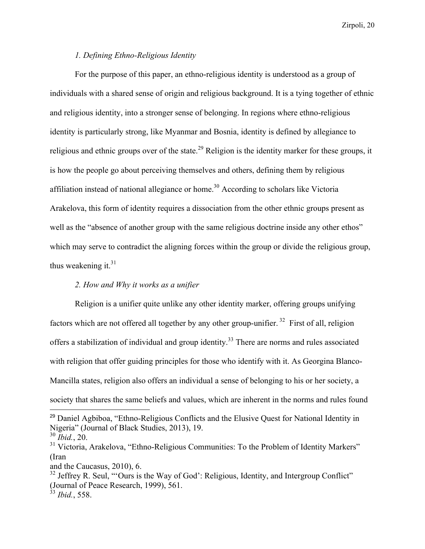#### *1. Defining Ethno-Religious Identity*

For the purpose of this paper, an ethno-religious identity is understood as a group of individuals with a shared sense of origin and religious background. It is a tying together of ethnic and religious identity, into a stronger sense of belonging. In regions where ethno-religious identity is particularly strong, like Myanmar and Bosnia, identity is defined by allegiance to religious and ethnic groups over of the state.<sup>29</sup> Religion is the identity marker for these groups, it is how the people go about perceiving themselves and others, defining them by religious affiliation instead of national allegiance or home.<sup>30</sup> According to scholars like Victoria Arakelova, this form of identity requires a dissociation from the other ethnic groups present as well as the "absence of another group with the same religious doctrine inside any other ethos" which may serve to contradict the aligning forces within the group or divide the religious group, thus weakening it. $31$ 

# *2. How and Why it works as a unifier*

Religion is a unifier quite unlike any other identity marker, offering groups unifying factors which are not offered all together by any other group-unifier.<sup>32</sup> First of all, religion offers a stabilization of individual and group identity.<sup>33</sup> There are norms and rules associated with religion that offer guiding principles for those who identify with it. As Georgina Blanco-Mancilla states, religion also offers an individual a sense of belonging to his or her society, a society that shares the same beliefs and values, which are inherent in the norms and rules found

<sup>&</sup>lt;sup>29</sup> Daniel Agbiboa, "Ethno-Religious Conflicts and the Elusive Quest for National Identity in Nigeria" (Journal of Black Studies, 2013), 19. <sup>30</sup> *Ibid.*, 20.

<sup>&</sup>lt;sup>31</sup> Victoria, Arakelova, "Ethno-Religious Communities: To the Problem of Identity Markers" (Iran

and the Caucasus, 2010), 6.

 $32$  Jeffrey R. Seul, "Ours is the Way of God': Religious, Identity, and Intergroup Conflict" (Journal of Peace Research, 1999), 561. <sup>33</sup> *Ibid.*, 558.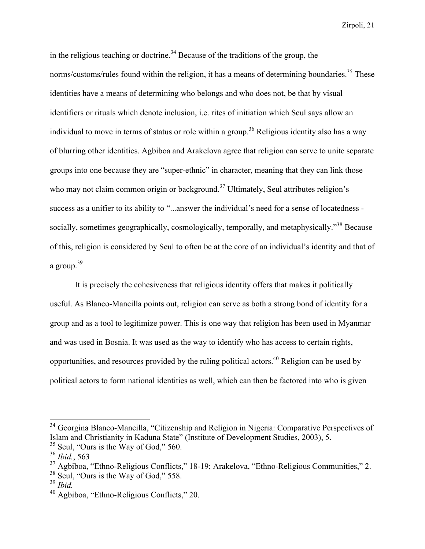in the religious teaching or doctrine.<sup>34</sup> Because of the traditions of the group, the norms/customs/rules found within the religion, it has a means of determining boundaries.<sup>35</sup> These identities have a means of determining who belongs and who does not, be that by visual identifiers or rituals which denote inclusion, i.e. rites of initiation which Seul says allow an individual to move in terms of status or role within a group.<sup>36</sup> Religious identity also has a way of blurring other identities. Agbiboa and Arakelova agree that religion can serve to unite separate groups into one because they are "super-ethnic" in character, meaning that they can link those who may not claim common origin or background.<sup>37</sup> Ultimately, Seul attributes religion's success as a unifier to its ability to "...answer the individual's need for a sense of locatedness socially, sometimes geographically, cosmologically, temporally, and metaphysically.<sup>338</sup> Because of this, religion is considered by Seul to often be at the core of an individual's identity and that of a group. $39$ 

It is precisely the cohesiveness that religious identity offers that makes it politically useful. As Blanco-Mancilla points out, religion can serve as both a strong bond of identity for a group and as a tool to legitimize power. This is one way that religion has been used in Myanmar and was used in Bosnia. It was used as the way to identify who has access to certain rights, opportunities, and resources provided by the ruling political actors.<sup>40</sup> Religion can be used by political actors to form national identities as well, which can then be factored into who is given

<sup>&</sup>lt;sup>34</sup> Georgina Blanco-Mancilla, "Citizenship and Religion in Nigeria: Comparative Perspectives of Islam and Christianity in Kaduna State" (Institute of Development Studies, 2003), 5.

<sup>&</sup>lt;sup>35</sup> Seul, "Ours is the Way of God," 560.

<sup>36</sup> *Ibid.*, 563

<sup>37</sup> Agbiboa, "Ethno-Religious Conflicts," 18-19; Arakelova, "Ethno-Religious Communities," 2.

 $38$  Seul, "Ours is the Way of God," 558.

<sup>39</sup> *Ibid.*

<sup>40</sup> Agbiboa, "Ethno-Religious Conflicts," 20.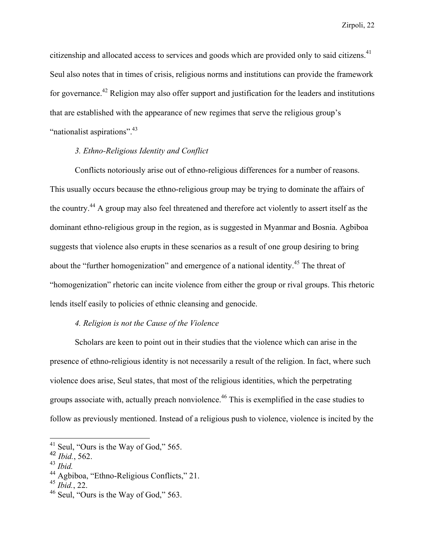citizenship and allocated access to services and goods which are provided only to said citizens.<sup>41</sup> Seul also notes that in times of crisis, religious norms and institutions can provide the framework for governance.<sup>42</sup> Religion may also offer support and justification for the leaders and institutions that are established with the appearance of new regimes that serve the religious group's "nationalist aspirations".<sup>43</sup>

#### *3. Ethno-Religious Identity and Conflict*

Conflicts notoriously arise out of ethno-religious differences for a number of reasons. This usually occurs because the ethno-religious group may be trying to dominate the affairs of the country.<sup>44</sup> A group may also feel threatened and therefore act violently to assert itself as the dominant ethno-religious group in the region, as is suggested in Myanmar and Bosnia. Agbiboa suggests that violence also erupts in these scenarios as a result of one group desiring to bring about the "further homogenization" and emergence of a national identity.<sup>45</sup> The threat of "homogenization" rhetoric can incite violence from either the group or rival groups. This rhetoric lends itself easily to policies of ethnic cleansing and genocide.

#### *4. Religion is not the Cause of the Violence*

Scholars are keen to point out in their studies that the violence which can arise in the presence of ethno-religious identity is not necessarily a result of the religion. In fact, where such violence does arise, Seul states, that most of the religious identities, which the perpetrating groups associate with, actually preach nonviolence.<sup>46</sup> This is exemplified in the case studies to follow as previously mentioned. Instead of a religious push to violence, violence is incited by the

<sup>41</sup> Seul, "Ours is the Way of God," 565. <sup>42</sup> *Ibid.*, 562.

<sup>43</sup> *Ibid.*

<sup>44</sup> Agbiboa, "Ethno-Religious Conflicts," 21.

<sup>45</sup> *Ibid.*, 22.

<sup>46</sup> Seul, "Ours is the Way of God," 563.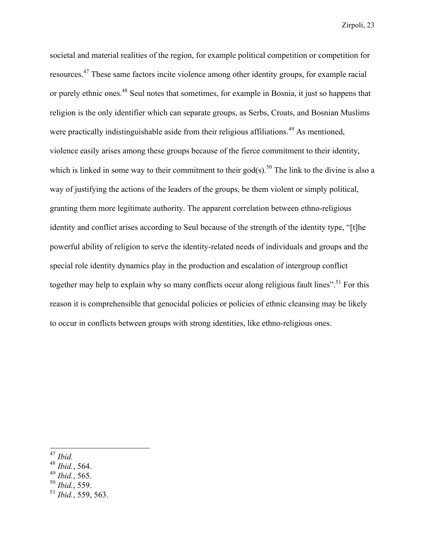societal and material realities of the region, for example political competition or competition for resources.<sup>47</sup> These same factors incite violence among other identity groups, for example racial or purely ethnic ones.<sup>48</sup> Seul notes that sometimes, for example in Bosnia, it just so happens that religion is the only identifier which can separate groups, as Serbs, Croats, and Bosnian Muslims were practically indistinguishable aside from their religious affiliations.<sup>49</sup> As mentioned, violence easily arises among these groups because of the fierce commitment to their identity, which is linked in some way to their commitment to their god(s).<sup>50</sup> The link to the divine is also a way of justifying the actions of the leaders of the groups, be them violent or simply political, granting them more legitimate authority. The apparent correlation between ethno-religious identity and conflict arises according to Seul because of the strength of the identity type, "[t]he powerful ability of religion to serve the identity-related needs of individuals and groups and the special role identity dynamics play in the production and escalation of intergroup conflict together may help to explain why so many conflicts occur along religious fault lines".<sup>51</sup> For this reason it is comprehensible that genocidal policies or policies of ethnic cleansing may be likely to occur in conflicts between groups with strong identities, like ethno-religious ones.

- <sup>47</sup> *Ibid.*
- <sup>48</sup> *Ibid.*, 564.
- <sup>49</sup> *Ibid.*, 565.
- <sup>50</sup> *Ibid.*, 559.
- <sup>51</sup> *Ibid.*, 559, 563.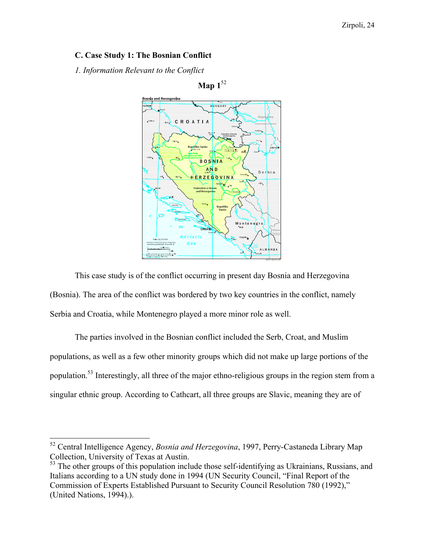# **C. Case Study 1: The Bosnian Conflict**

*1. Information Relevant to the Conflict*



This case study is of the conflict occurring in present day Bosnia and Herzegovina (Bosnia). The area of the conflict was bordered by two key countries in the conflict, namely Serbia and Croatia, while Montenegro played a more minor role as well.

The parties involved in the Bosnian conflict included the Serb, Croat, and Muslim populations, as well as a few other minority groups which did not make up large portions of the population.53 Interestingly, all three of the major ethno-religious groups in the region stem from a singular ethnic group. According to Cathcart, all three groups are Slavic, meaning they are of

<sup>52</sup> Central Intelligence Agency, *Bosnia and Herzegovina*, 1997, Perry-Castaneda Library Map Collection, University of Texas at Austin.

<sup>&</sup>lt;sup>53</sup> The other groups of this population include those self-identifying as Ukrainians, Russians, and Italians according to a UN study done in 1994 (UN Security Council, "Final Report of the Commission of Experts Established Pursuant to Security Council Resolution 780 (1992)," (United Nations, 1994).).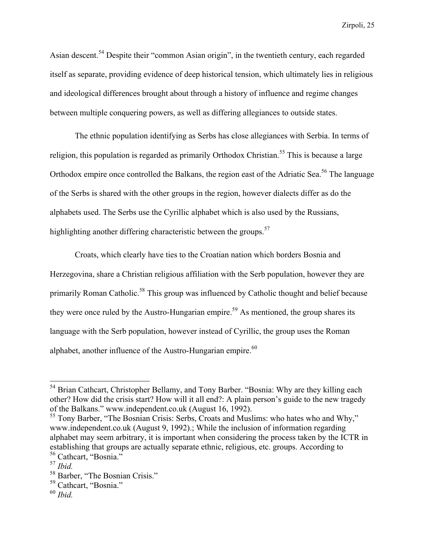Asian descent.<sup>54</sup> Despite their "common Asian origin", in the twentieth century, each regarded itself as separate, providing evidence of deep historical tension, which ultimately lies in religious and ideological differences brought about through a history of influence and regime changes between multiple conquering powers, as well as differing allegiances to outside states.

The ethnic population identifying as Serbs has close allegiances with Serbia. In terms of religion, this population is regarded as primarily Orthodox Christian.<sup>55</sup> This is because a large Orthodox empire once controlled the Balkans, the region east of the Adriatic Sea.<sup>56</sup> The language of the Serbs is shared with the other groups in the region, however dialects differ as do the alphabets used. The Serbs use the Cyrillic alphabet which is also used by the Russians, highlighting another differing characteristic between the groups. $57$ 

Croats, which clearly have ties to the Croatian nation which borders Bosnia and Herzegovina, share a Christian religious affiliation with the Serb population, however they are primarily Roman Catholic.<sup>58</sup> This group was influenced by Catholic thought and belief because they were once ruled by the Austro-Hungarian empire.<sup>59</sup> As mentioned, the group shares its language with the Serb population, however instead of Cyrillic, the group uses the Roman alphabet, another influence of the Austro-Hungarian empire. $60$ 

<sup>&</sup>lt;sup>54</sup> Brian Cathcart, Christopher Bellamy, and Tony Barber. "Bosnia: Why are they killing each other? How did the crisis start? How will it all end?: A plain person's guide to the new tragedy of the Balkans." www.independent.co.uk (August 16, 1992).

<sup>&</sup>lt;sup>55</sup> Tony Barber, "The Bosnian Crisis: Serbs, Croats and Muslims: who hates who and Why," www.independent.co.uk (August 9, 1992).; While the inclusion of information regarding alphabet may seem arbitrary, it is important when considering the process taken by the ICTR in establishing that groups are actually separate ethnic, religious, etc. groups. According to <sup>56</sup> Cathcart, "Bosnia."

<sup>57</sup> *Ibid.*

<sup>58</sup> Barber, "The Bosnian Crisis."

<sup>59</sup> Cathcart, "Bosnia."

<sup>60</sup> *Ibid.*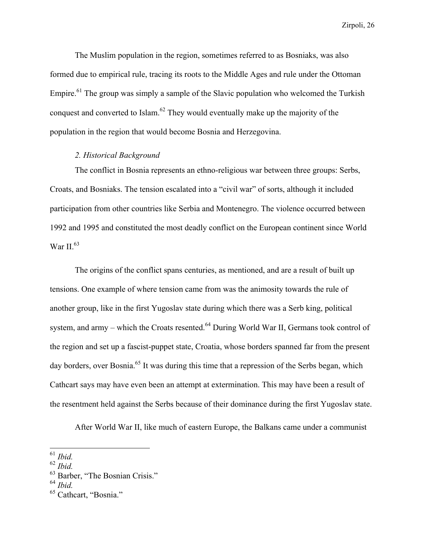The Muslim population in the region, sometimes referred to as Bosniaks, was also formed due to empirical rule, tracing its roots to the Middle Ages and rule under the Ottoman Empire.<sup>61</sup> The group was simply a sample of the Slavic population who welcomed the Turkish conquest and converted to Islam.<sup>62</sup> They would eventually make up the majority of the population in the region that would become Bosnia and Herzegovina.

### *2. Historical Background*

The conflict in Bosnia represents an ethno-religious war between three groups: Serbs, Croats, and Bosniaks. The tension escalated into a "civil war" of sorts, although it included participation from other countries like Serbia and Montenegro. The violence occurred between 1992 and 1995 and constituted the most deadly conflict on the European continent since World War II. $63$ 

The origins of the conflict spans centuries, as mentioned, and are a result of built up tensions. One example of where tension came from was the animosity towards the rule of another group, like in the first Yugoslav state during which there was a Serb king, political system, and army – which the Croats resented.<sup>64</sup> During World War II, Germans took control of the region and set up a fascist-puppet state, Croatia, whose borders spanned far from the present day borders, over Bosnia.<sup>65</sup> It was during this time that a repression of the Serbs began, which Cathcart says may have even been an attempt at extermination. This may have been a result of the resentment held against the Serbs because of their dominance during the first Yugoslav state.

After World War II, like much of eastern Europe, the Balkans came under a communist

<sup>61</sup> *Ibid.*

<sup>62</sup> *Ibid.*

<sup>&</sup>lt;sup>63</sup> Barber, "The Bosnian Crisis."

<sup>64</sup> *Ibid.*

<sup>65</sup> Cathcart, "Bosnia."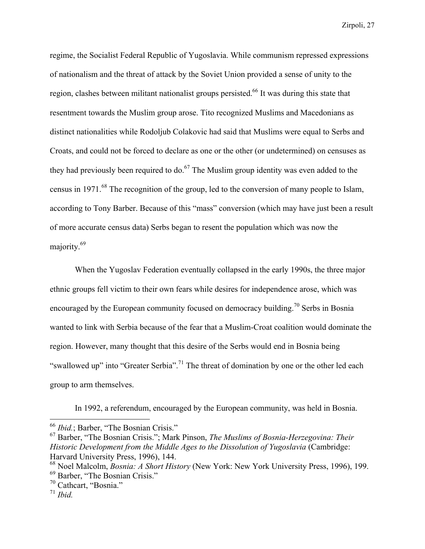regime, the Socialist Federal Republic of Yugoslavia. While communism repressed expressions of nationalism and the threat of attack by the Soviet Union provided a sense of unity to the region, clashes between militant nationalist groups persisted.<sup>66</sup> It was during this state that resentment towards the Muslim group arose. Tito recognized Muslims and Macedonians as distinct nationalities while Rodoljub Colakovic had said that Muslims were equal to Serbs and Croats, and could not be forced to declare as one or the other (or undetermined) on censuses as they had previously been required to do. $67$  The Muslim group identity was even added to the census in 1971.<sup>68</sup> The recognition of the group, led to the conversion of many people to Islam, according to Tony Barber. Because of this "mass" conversion (which may have just been a result of more accurate census data) Serbs began to resent the population which was now the majority.<sup>69</sup>

When the Yugoslav Federation eventually collapsed in the early 1990s, the three major ethnic groups fell victim to their own fears while desires for independence arose, which was encouraged by the European community focused on democracy building.<sup>70</sup> Serbs in Bosnia wanted to link with Serbia because of the fear that a Muslim-Croat coalition would dominate the region. However, many thought that this desire of the Serbs would end in Bosnia being "swallowed up" into "Greater Serbia".<sup>71</sup> The threat of domination by one or the other led each group to arm themselves.

In 1992, a referendum, encouraged by the European community, was held in Bosnia.

<sup>66</sup> *Ibid.*; Barber, "The Bosnian Crisis."

<sup>67</sup> Barber, "The Bosnian Crisis."; Mark Pinson, *The Muslims of Bosnia-Herzegovina: Their Historic Development from the Middle Ages to the Dissolution of Yugoslavia* (Cambridge: Harvard University Press, 1996), 144.

<sup>68</sup> Noel Malcolm, *Bosnia: A Short History* (New York: New York University Press, 1996), 199. <sup>69</sup> Barber, "The Bosnian Crisis."

<sup>70</sup> Cathcart, "Bosnia."

<sup>71</sup> *Ibid.*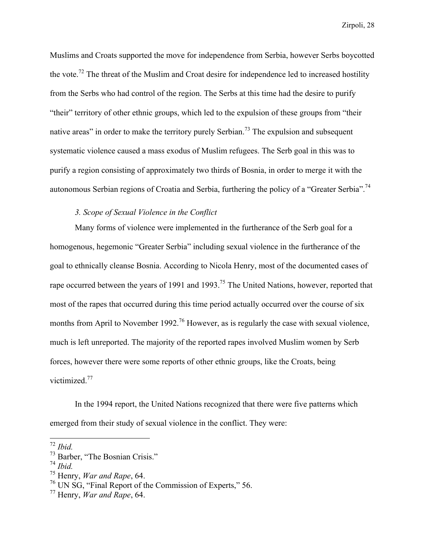Muslims and Croats supported the move for independence from Serbia, however Serbs boycotted the vote.<sup>72</sup> The threat of the Muslim and Croat desire for independence led to increased hostility from the Serbs who had control of the region. The Serbs at this time had the desire to purify "their" territory of other ethnic groups, which led to the expulsion of these groups from "their native areas" in order to make the territory purely Serbian.<sup>73</sup> The expulsion and subsequent systematic violence caused a mass exodus of Muslim refugees. The Serb goal in this was to purify a region consisting of approximately two thirds of Bosnia, in order to merge it with the autonomous Serbian regions of Croatia and Serbia, furthering the policy of a "Greater Serbia".<sup>74</sup>

#### *3. Scope of Sexual Violence in the Conflict*

Many forms of violence were implemented in the furtherance of the Serb goal for a homogenous, hegemonic "Greater Serbia" including sexual violence in the furtherance of the goal to ethnically cleanse Bosnia. According to Nicola Henry, most of the documented cases of rape occurred between the years of 1991 and 1993.<sup>75</sup> The United Nations, however, reported that most of the rapes that occurred during this time period actually occurred over the course of six months from April to November 1992.<sup>76</sup> However, as is regularly the case with sexual violence, much is left unreported. The majority of the reported rapes involved Muslim women by Serb forces, however there were some reports of other ethnic groups, like the Croats, being victimized.<sup>77</sup>

In the 1994 report, the United Nations recognized that there were five patterns which emerged from their study of sexual violence in the conflict. They were:

<sup>72</sup> *Ibid.*

<sup>73</sup> Barber, "The Bosnian Crisis."

<sup>74</sup> *Ibid.*

<sup>75</sup> Henry, *War and Rape*, 64.

<sup>76</sup> UN SG, "Final Report of the Commission of Experts," 56.

<sup>77</sup> Henry, *War and Rape*, 64.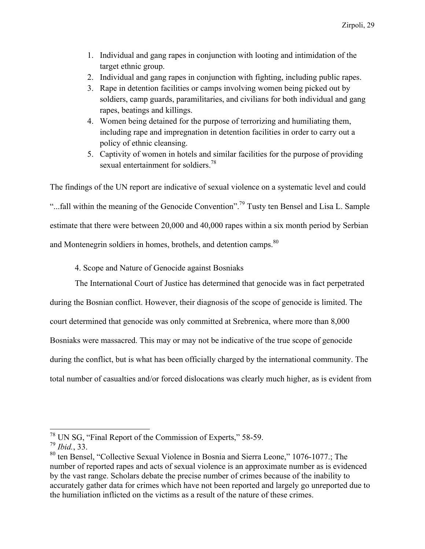- 1. Individual and gang rapes in conjunction with looting and intimidation of the target ethnic group.
- 2. Individual and gang rapes in conjunction with fighting, including public rapes.
- 3. Rape in detention facilities or camps involving women being picked out by soldiers, camp guards, paramilitaries, and civilians for both individual and gang rapes, beatings and killings.
- 4. Women being detained for the purpose of terrorizing and humiliating them, including rape and impregnation in detention facilities in order to carry out a policy of ethnic cleansing.
- 5. Captivity of women in hotels and similar facilities for the purpose of providing sexual entertainment for soldiers  $^{78}$

The findings of the UN report are indicative of sexual violence on a systematic level and could "...fall within the meaning of the Genocide Convention".<sup>79</sup> Tusty ten Bensel and Lisa L. Sample estimate that there were between 20,000 and 40,000 rapes within a six month period by Serbian and Montenegrin soldiers in homes, brothels, and detention camps.<sup>80</sup>

4. Scope and Nature of Genocide against Bosniaks

The International Court of Justice has determined that genocide was in fact perpetrated during the Bosnian conflict. However, their diagnosis of the scope of genocide is limited. The court determined that genocide was only committed at Srebrenica, where more than 8,000 Bosniaks were massacred. This may or may not be indicative of the true scope of genocide

during the conflict, but is what has been officially charged by the international community. The

total number of casualties and/or forced dislocations was clearly much higher, as is evident from

<sup>78</sup> UN SG, "Final Report of the Commission of Experts," 58-59.

<sup>79</sup> *Ibid.*, 33.

<sup>80</sup> ten Bensel, "Collective Sexual Violence in Bosnia and Sierra Leone," 1076-1077.; The number of reported rapes and acts of sexual violence is an approximate number as is evidenced by the vast range. Scholars debate the precise number of crimes because of the inability to accurately gather data for crimes which have not been reported and largely go unreported due to the humiliation inflicted on the victims as a result of the nature of these crimes.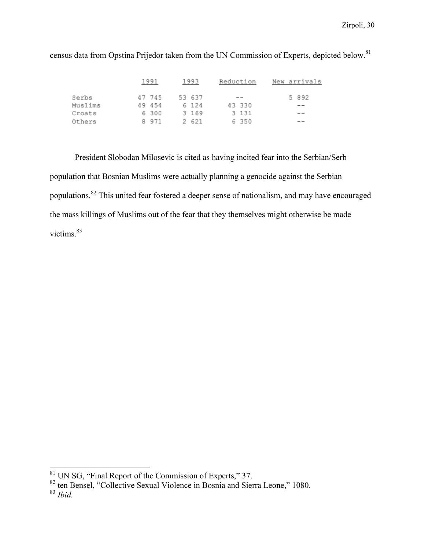|         | 1991 |        | 1993 | Reduction | New arrivals |        |  |  |         |
|---------|------|--------|------|-----------|--------------|--------|--|--|---------|
| Serbs   |      | 47 745 |      | 53 637    |              | --     |  |  | 5 8 9 2 |
| Muslims |      | 49 454 |      | 6 124     |              | 43 330 |  |  | --      |
| Croats  |      | 6300   |      | 3 169     |              | 3 131  |  |  | $- -$   |
| Others  | 8.   | 971    |      | 2 621     |              | 6 350  |  |  | $- -$   |

census data from Opstina Prijedor taken from the UN Commission of Experts, depicted below.<sup>81</sup>

President Slobodan Milosevic is cited as having incited fear into the Serbian/Serb population that Bosnian Muslims were actually planning a genocide against the Serbian populations.<sup>82</sup> This united fear fostered a deeper sense of nationalism, and may have encouraged the mass killings of Muslims out of the fear that they themselves might otherwise be made victims<sup>83</sup>

 $\frac{81}{100}$  UN SG, "Final Report of the Commission of Experts," 37.

<sup>82</sup> ten Bensel, "Collective Sexual Violence in Bosnia and Sierra Leone," 1080. <sup>83</sup> *Ibid.*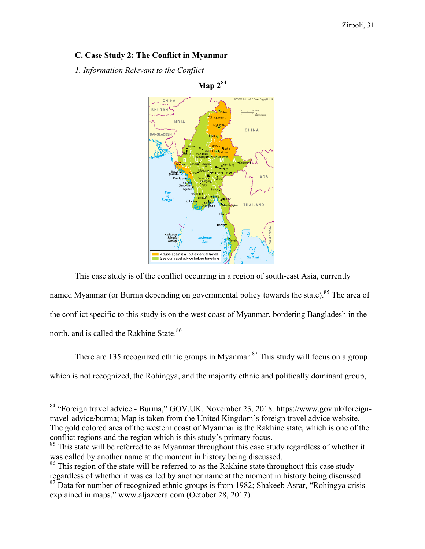# **C. Case Study 2: The Conflict in Myanmar**

*1. Information Relevant to the Conflict*



**Map 2**<sup>84</sup>

This case study is of the conflict occurring in a region of south-east Asia, currently named Myanmar (or Burma depending on governmental policy towards the state).<sup>85</sup> The area of the conflict specific to this study is on the west coast of Myanmar, bordering Bangladesh in the north, and is called the Rakhine State.<sup>86</sup>

There are 135 recognized ethnic groups in Myanmar.<sup>87</sup> This study will focus on a group which is not recognized, the Rohingya, and the majority ethnic and politically dominant group,

<sup>84</sup> "Foreign travel advice - Burma," GOV.UK. November 23, 2018. https://www.gov.uk/foreigntravel-advice/burma; Map is taken from the United Kingdom's foreign travel advice website. The gold colored area of the western coast of Myanmar is the Rakhine state, which is one of the conflict regions and the region which is this study's primary focus.

<sup>&</sup>lt;sup>85</sup> This state will be referred to as Myanmar throughout this case study regardless of whether it

was called by another name at the moment in history being discussed.<br><sup>86</sup> This region of the state will be referred to as the Rakhine state throughout this case study regardless of whether it was called by another name at the moment in history being discussed.

 $87$  Data for number of recognized ethnic groups is from 1982; Shakeeb Asrar, "Rohingya crisis" explained in maps," www.aljazeera.com (October 28, 2017).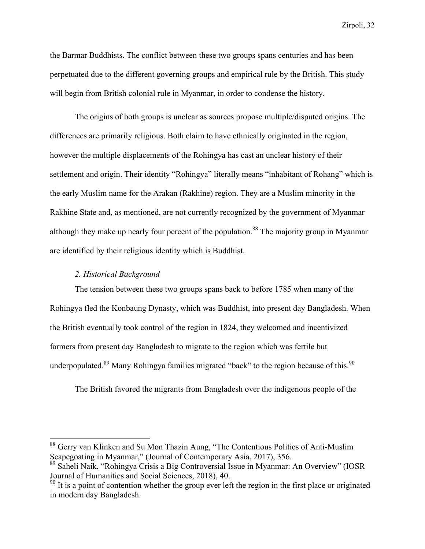the Barmar Buddhists. The conflict between these two groups spans centuries and has been perpetuated due to the different governing groups and empirical rule by the British. This study will begin from British colonial rule in Myanmar, in order to condense the history.

The origins of both groups is unclear as sources propose multiple/disputed origins. The differences are primarily religious. Both claim to have ethnically originated in the region, however the multiple displacements of the Rohingya has cast an unclear history of their settlement and origin. Their identity "Rohingya" literally means "inhabitant of Rohang" which is the early Muslim name for the Arakan (Rakhine) region. They are a Muslim minority in the Rakhine State and, as mentioned, are not currently recognized by the government of Myanmar although they make up nearly four percent of the population.<sup>88</sup> The majority group in Myanmar are identified by their religious identity which is Buddhist.

#### *2. Historical Background*

The tension between these two groups spans back to before 1785 when many of the Rohingya fled the Konbaung Dynasty, which was Buddhist, into present day Bangladesh. When the British eventually took control of the region in 1824, they welcomed and incentivized farmers from present day Bangladesh to migrate to the region which was fertile but underpopulated.<sup>89</sup> Many Rohingya families migrated "back" to the region because of this.<sup>90</sup>

The British favored the migrants from Bangladesh over the indigenous people of the

<sup>88</sup> Gerry van Klinken and Su Mon Thazin Aung, "The Contentious Politics of Anti-Muslim Scapegoating in Myanmar," (Journal of Contemporary Asia, 2017), 356.

<sup>89</sup> Saheli Naik, "Rohingya Crisis a Big Controversial Issue in Myanmar: An Overview" (IOSR Journal of Humanities and Social Sciences, 2018), 40.

<sup>&</sup>lt;sup>90</sup> It is a point of contention whether the group ever left the region in the first place or originated in modern day Bangladesh.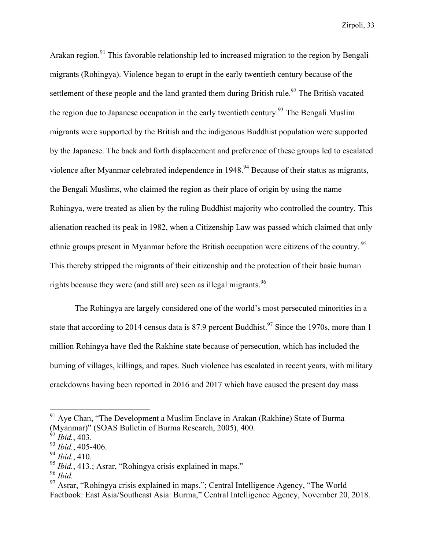Arakan region.<sup>91</sup> This favorable relationship led to increased migration to the region by Bengali migrants (Rohingya). Violence began to erupt in the early twentieth century because of the settlement of these people and the land granted them during British rule.<sup>92</sup> The British vacated the region due to Japanese occupation in the early twentieth century.<sup>93</sup> The Bengali Muslim migrants were supported by the British and the indigenous Buddhist population were supported by the Japanese. The back and forth displacement and preference of these groups led to escalated violence after Myanmar celebrated independence in 1948.<sup>94</sup> Because of their status as migrants, the Bengali Muslims, who claimed the region as their place of origin by using the name Rohingya, were treated as alien by the ruling Buddhist majority who controlled the country. This alienation reached its peak in 1982, when a Citizenship Law was passed which claimed that only ethnic groups present in Myanmar before the British occupation were citizens of the country.<sup>95</sup> This thereby stripped the migrants of their citizenship and the protection of their basic human rights because they were (and still are) seen as illegal migrants.<sup>96</sup>

The Rohingya are largely considered one of the world's most persecuted minorities in a state that according to 2014 census data is 87.9 percent Buddhist.<sup>97</sup> Since the 1970s, more than 1 million Rohingya have fled the Rakhine state because of persecution, which has included the burning of villages, killings, and rapes. Such violence has escalated in recent years, with military crackdowns having been reported in 2016 and 2017 which have caused the present day mass

 $91$  Aye Chan, "The Development a Muslim Enclave in Arakan (Rakhine) State of Burma (Myanmar)" (SOAS Bulletin of Burma Research, 2005), 400.

<sup>92</sup> *Ibid.*, 403.

<sup>93</sup> *Ibid.*, 405-406.

<sup>94</sup> *Ibid.*, 410.

<sup>95</sup> *Ibid.*, 413.; Asrar, "Rohingya crisis explained in maps."

<sup>96</sup> *Ibid.*

 $97$  Asrar, "Rohingya crisis explained in maps."; Central Intelligence Agency, "The World Factbook: East Asia/Southeast Asia: Burma," Central Intelligence Agency, November 20, 2018.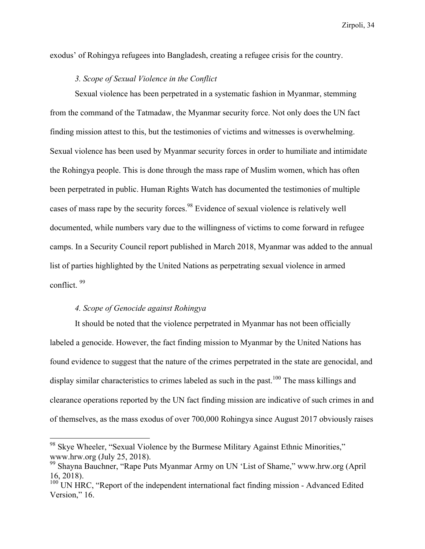exodus' of Rohingya refugees into Bangladesh, creating a refugee crisis for the country.

#### *3. Scope of Sexual Violence in the Conflict*

Sexual violence has been perpetrated in a systematic fashion in Myanmar, stemming from the command of the Tatmadaw, the Myanmar security force. Not only does the UN fact finding mission attest to this, but the testimonies of victims and witnesses is overwhelming. Sexual violence has been used by Myanmar security forces in order to humiliate and intimidate the Rohingya people. This is done through the mass rape of Muslim women, which has often been perpetrated in public. Human Rights Watch has documented the testimonies of multiple cases of mass rape by the security forces.<sup>98</sup> Evidence of sexual violence is relatively well documented, while numbers vary due to the willingness of victims to come forward in refugee camps. In a Security Council report published in March 2018, Myanmar was added to the annual list of parties highlighted by the United Nations as perpetrating sexual violence in armed conflict. <sup>99</sup>

#### *4. Scope of Genocide against Rohingya*

It should be noted that the violence perpetrated in Myanmar has not been officially labeled a genocide. However, the fact finding mission to Myanmar by the United Nations has found evidence to suggest that the nature of the crimes perpetrated in the state are genocidal, and display similar characteristics to crimes labeled as such in the past.<sup>100</sup> The mass killings and clearance operations reported by the UN fact finding mission are indicative of such crimes in and of themselves, as the mass exodus of over 700,000 Rohingya since August 2017 obviously raises

<sup>&</sup>lt;sup>98</sup> Skye Wheeler, "Sexual Violence by the Burmese Military Against Ethnic Minorities," www.hrw.org (July 25, 2018).

<sup>99</sup> Shayna Bauchner, "Rape Puts Myanmar Army on UN 'List of Shame," www.hrw.org (April 16, 2018).

 $100$  UN HRC, "Report of the independent international fact finding mission - Advanced Edited Version," 16.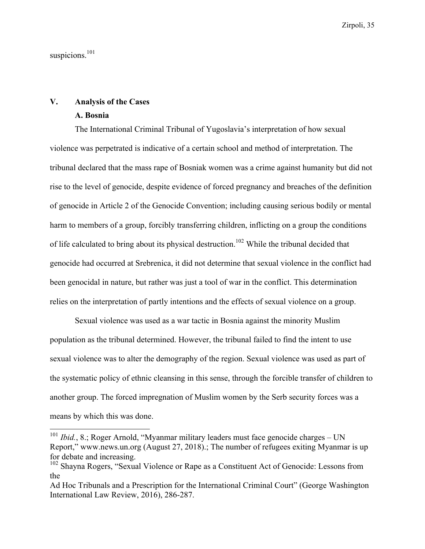suspicions.<sup>101</sup>

#### **V. Analysis of the Cases**

#### **A. Bosnia**

The International Criminal Tribunal of Yugoslavia's interpretation of how sexual violence was perpetrated is indicative of a certain school and method of interpretation. The tribunal declared that the mass rape of Bosniak women was a crime against humanity but did not rise to the level of genocide, despite evidence of forced pregnancy and breaches of the definition of genocide in Article 2 of the Genocide Convention; including causing serious bodily or mental harm to members of a group, forcibly transferring children, inflicting on a group the conditions of life calculated to bring about its physical destruction.<sup>102</sup> While the tribunal decided that genocide had occurred at Srebrenica, it did not determine that sexual violence in the conflict had been genocidal in nature, but rather was just a tool of war in the conflict. This determination relies on the interpretation of partly intentions and the effects of sexual violence on a group.

Sexual violence was used as a war tactic in Bosnia against the minority Muslim population as the tribunal determined. However, the tribunal failed to find the intent to use sexual violence was to alter the demography of the region. Sexual violence was used as part of the systematic policy of ethnic cleansing in this sense, through the forcible transfer of children to another group. The forced impregnation of Muslim women by the Serb security forces was a means by which this was done.

<sup>&</sup>lt;sup>101</sup> *Ibid.*, 8.; Roger Arnold, "Myanmar military leaders must face genocide charges – UN Report," www.news.un.org (August 27, 2018).; The number of refugees exiting Myanmar is up for debate and increasing.

<sup>&</sup>lt;sup>102</sup> Shayna Rogers, "Sexual Violence or Rape as a Constituent Act of Genocide: Lessons from the

Ad Hoc Tribunals and a Prescription for the International Criminal Court" (George Washington International Law Review, 2016), 286-287.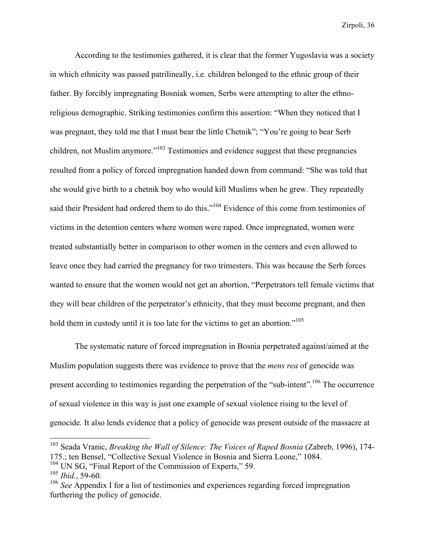According to the testimonies gathered, it is clear that the former Yugoslavia was a society in which ethnicity was passed patrilineally, i.e. children belonged to the ethnic group of their father. By forcibly impregnating Bosniak women, Serbs were attempting to alter the ethnoreligious demographic. Striking testimonies confirm this assertion: "When they noticed that I was pregnant, they told me that I must bear the little Chetnik"; "You're going to bear Serb children, not Muslim anymore."<sup>103</sup> Testimonies and evidence suggest that these pregnancies resulted from a policy of forced impregnation handed down from command: "She was told that she would give birth to a chetnik boy who would kill Muslims when he grew. They repeatedly said their President had ordered them to do this."<sup>104</sup> Evidence of this come from testimonies of victims in the detention centers where women were raped. Once impregnated, women were treated substantially better in comparison to other women in the centers and even allowed to leave once they had carried the pregnancy for two trimesters. This was because the Serb forces wanted to ensure that the women would not get an abortion, "Perpetrators tell female victims that they will bear children of the perpetrator's ethnicity, that they must become pregnant, and then hold them in custody until it is too late for the victims to get an abortion."<sup>105</sup>

The systematic nature of forced impregnation in Bosnia perpetrated against/aimed at the Muslim population suggests there was evidence to prove that the *mens rea* of genocide was present according to testimonies regarding the perpetration of the "sub-intent".106 The occurrence of sexual violence in this way is just one example of sexual violence rising to the level of genocide. It also lends evidence that a policy of genocide was present outside of the massacre at

<sup>103</sup> Seada Vranic, *Breaking the Wall of Silence: The Voices of Raped Bosnia* (Zabreb, 1996), 174- 175.; ten Bensel, "Collective Sexual Violence in Bosnia and Sierra Leone," 1084.  $104$  UN SG, "Final Report of the Commission of Experts," 59.

<sup>105</sup> *Ibid.*, 59-60.

<sup>&</sup>lt;sup>106</sup> See Appendix I for a list of testimonies and experiences regarding forced impregnation furthering the policy of genocide.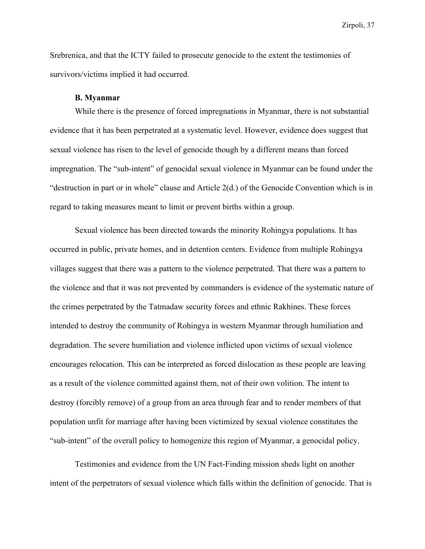Srebrenica, and that the ICTY failed to prosecute genocide to the extent the testimonies of survivors/victims implied it had occurred.

#### **B. Myanmar**

While there is the presence of forced impregnations in Myanmar, there is not substantial evidence that it has been perpetrated at a systematic level. However, evidence does suggest that sexual violence has risen to the level of genocide though by a different means than forced impregnation. The "sub-intent" of genocidal sexual violence in Myanmar can be found under the "destruction in part or in whole" clause and Article 2(d.) of the Genocide Convention which is in regard to taking measures meant to limit or prevent births within a group.

Sexual violence has been directed towards the minority Rohingya populations. It has occurred in public, private homes, and in detention centers. Evidence from multiple Rohingya villages suggest that there was a pattern to the violence perpetrated. That there was a pattern to the violence and that it was not prevented by commanders is evidence of the systematic nature of the crimes perpetrated by the Tatmadaw security forces and ethnic Rakhines. These forces intended to destroy the community of Rohingya in western Myanmar through humiliation and degradation. The severe humiliation and violence inflicted upon victims of sexual violence encourages relocation. This can be interpreted as forced dislocation as these people are leaving as a result of the violence committed against them, not of their own volition. The intent to destroy (forcibly remove) of a group from an area through fear and to render members of that population unfit for marriage after having been victimized by sexual violence constitutes the "sub-intent" of the overall policy to homogenize this region of Myanmar, a genocidal policy.

Testimonies and evidence from the UN Fact-Finding mission sheds light on another intent of the perpetrators of sexual violence which falls within the definition of genocide. That is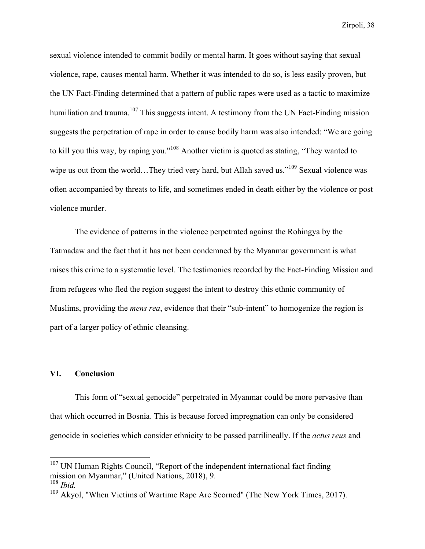sexual violence intended to commit bodily or mental harm. It goes without saying that sexual violence, rape, causes mental harm. Whether it was intended to do so, is less easily proven, but the UN Fact-Finding determined that a pattern of public rapes were used as a tactic to maximize humiliation and trauma.<sup>107</sup> This suggests intent. A testimony from the UN Fact-Finding mission suggests the perpetration of rape in order to cause bodily harm was also intended: "We are going to kill you this way, by raping you."<sup>108</sup> Another victim is quoted as stating, "They wanted to wipe us out from the world…They tried very hard, but Allah saved us."<sup>109</sup> Sexual violence was often accompanied by threats to life, and sometimes ended in death either by the violence or post violence murder.

The evidence of patterns in the violence perpetrated against the Rohingya by the Tatmadaw and the fact that it has not been condemned by the Myanmar government is what raises this crime to a systematic level. The testimonies recorded by the Fact-Finding Mission and from refugees who fled the region suggest the intent to destroy this ethnic community of Muslims, providing the *mens rea*, evidence that their "sub-intent" to homogenize the region is part of a larger policy of ethnic cleansing.

#### **VI. Conclusion**

This form of "sexual genocide" perpetrated in Myanmar could be more pervasive than that which occurred in Bosnia. This is because forced impregnation can only be considered genocide in societies which consider ethnicity to be passed patrilineally. If the *actus reus* and

<sup>&</sup>lt;sup>107</sup> UN Human Rights Council, "Report of the independent international fact finding mission on Myanmar," (United Nations, 2018), 9.

<sup>108</sup> *Ibid.*

<sup>&</sup>lt;sup>109</sup> Akyol, "When Victims of Wartime Rape Are Scorned" (The New York Times, 2017).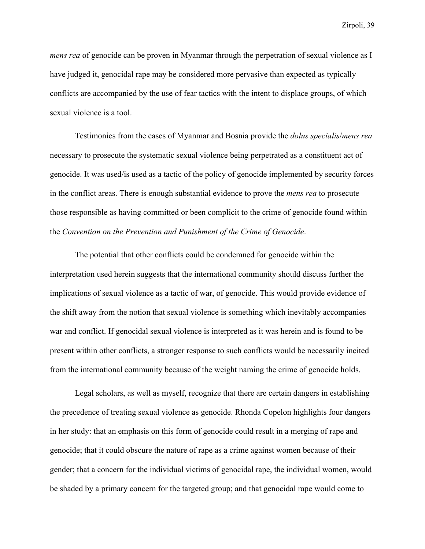*mens rea* of genocide can be proven in Myanmar through the perpetration of sexual violence as I have judged it, genocidal rape may be considered more pervasive than expected as typically conflicts are accompanied by the use of fear tactics with the intent to displace groups, of which sexual violence is a tool.

Testimonies from the cases of Myanmar and Bosnia provide the *dolus specialis*/*mens rea* necessary to prosecute the systematic sexual violence being perpetrated as a constituent act of genocide. It was used/is used as a tactic of the policy of genocide implemented by security forces in the conflict areas. There is enough substantial evidence to prove the *mens rea* to prosecute those responsible as having committed or been complicit to the crime of genocide found within the *Convention on the Prevention and Punishment of the Crime of Genocide*.

The potential that other conflicts could be condemned for genocide within the interpretation used herein suggests that the international community should discuss further the implications of sexual violence as a tactic of war, of genocide. This would provide evidence of the shift away from the notion that sexual violence is something which inevitably accompanies war and conflict. If genocidal sexual violence is interpreted as it was herein and is found to be present within other conflicts, a stronger response to such conflicts would be necessarily incited from the international community because of the weight naming the crime of genocide holds.

Legal scholars, as well as myself, recognize that there are certain dangers in establishing the precedence of treating sexual violence as genocide. Rhonda Copelon highlights four dangers in her study: that an emphasis on this form of genocide could result in a merging of rape and genocide; that it could obscure the nature of rape as a crime against women because of their gender; that a concern for the individual victims of genocidal rape, the individual women, would be shaded by a primary concern for the targeted group; and that genocidal rape would come to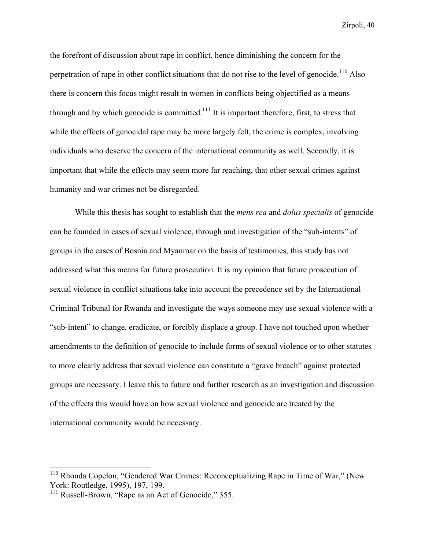the forefront of discussion about rape in conflict, hence diminishing the concern for the perpetration of rape in other conflict situations that do not rise to the level of genocide.<sup>110</sup> Also there is concern this focus might result in women in conflicts being objectified as a means through and by which genocide is committed.<sup>111</sup> It is important therefore, first, to stress that while the effects of genocidal rape may be more largely felt, the crime is complex, involving individuals who deserve the concern of the international community as well. Secondly, it is important that while the effects may seem more far reaching, that other sexual crimes against humanity and war crimes not be disregarded.

While this thesis has sought to establish that the *mens rea* and *dolus specialis* of genocide can be founded in cases of sexual violence, through and investigation of the "sub-intents" of groups in the cases of Bosnia and Myanmar on the basis of testimonies, this study has not addressed what this means for future prosecution. It is my opinion that future prosecution of sexual violence in conflict situations take into account the precedence set by the International Criminal Tribunal for Rwanda and investigate the ways someone may use sexual violence with a "sub-intent" to change, eradicate, or forcibly displace a group. I have not touched upon whether amendments to the definition of genocide to include forms of sexual violence or to other statutes to more clearly address that sexual violence can constitute a "grave breach" against protected groups are necessary. I leave this to future and further research as an investigation and discussion of the effects this would have on how sexual violence and genocide are treated by the international community would be necessary.

<sup>&</sup>lt;sup>110</sup> Rhonda Copelon, "Gendered War Crimes: Reconceptualizing Rape in Time of War," (New York: Routledge, 1995), 197, 199.

<sup>&</sup>lt;sup>111</sup> Russell-Brown, "Rape as an Act of Genocide," 355.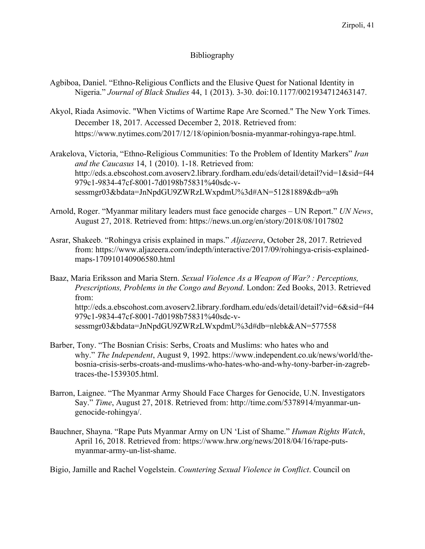# Bibliography

- Agbiboa, Daniel. "Ethno-Religious Conflicts and the Elusive Quest for National Identity in Nigeria." *Journal of Black Studies* 44, 1 (2013). 3-30. doi:10.1177/0021934712463147.
- Akyol, Riada Asimovic. "When Victims of Wartime Rape Are Scorned." The New York Times. December 18, 2017. Accessed December 2, 2018. Retrieved from: https://www.nytimes.com/2017/12/18/opinion/bosnia-myanmar-rohingya-rape.html.
- Arakelova, Victoria, "Ethno-Religious Communities: To the Problem of Identity Markers" *Iran and the Caucasus* 14, 1 (2010). 1-18. Retrieved from: http://eds.a.ebscohost.com.avoserv2.library.fordham.edu/eds/detail/detail?vid=1&sid=f44 979c1-9834-47cf-8001-7d0198b75831%40sdc-vsessmgr03&bdata=JnNpdGU9ZWRzLWxpdmU%3d#AN=51281889&db=a9h
- Arnold, Roger. "Myanmar military leaders must face genocide charges UN Report." *UN News*, August 27, 2018. Retrieved from: https://news.un.org/en/story/2018/08/1017802
- Asrar, Shakeeb. "Rohingya crisis explained in maps." *Aljazeera*, October 28, 2017. Retrieved from: https://www.aljazeera.com/indepth/interactive/2017/09/rohingya-crisis-explainedmaps-170910140906580.html

Baaz, Maria Eriksson and Maria Stern. *Sexual Violence As a Weapon of War? : Perceptions, Prescriptions, Problems in the Congo and Beyond*. London: Zed Books, 2013. Retrieved from: http://eds.a.ebscohost.com.avoserv2.library.fordham.edu/eds/detail/detail?vid=6&sid=f44 979c1-9834-47cf-8001-7d0198b75831%40sdc-vsessmgr03&bdata=JnNpdGU9ZWRzLWxpdmU%3d#db=nlebk&AN=577558

- Barber, Tony. "The Bosnian Crisis: Serbs, Croats and Muslims: who hates who and why." *The Independent*, August 9, 1992. https://www.independent.co.uk/news/world/thebosnia-crisis-serbs-croats-and-muslims-who-hates-who-and-why-tony-barber-in-zagrebtraces-the-1539305.html.
- Barron, Laignee. "The Myanmar Army Should Face Charges for Genocide, U.N. Investigators Say." *Time*, August 27, 2018. Retrieved from: http://time.com/5378914/myanmar-ungenocide-rohingya/.
- Bauchner, Shayna. "Rape Puts Myanmar Army on UN 'List of Shame." *Human Rights Watch*, April 16, 2018. Retrieved from: https://www.hrw.org/news/2018/04/16/rape-putsmyanmar-army-un-list-shame.

Bigio, Jamille and Rachel Vogelstein. *Countering Sexual Violence in Conflict*. Council on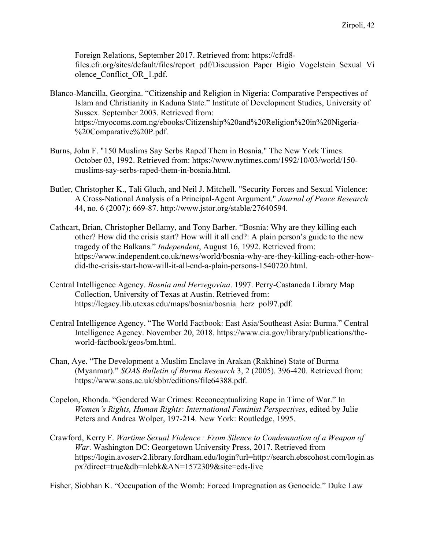Foreign Relations, September 2017. Retrieved from: https://cfrd8 files.cfr.org/sites/default/files/report\_pdf/Discussion\_Paper\_Bigio\_Vogelstein\_Sexual\_Vi olence Conflict OR 1.pdf.

- Blanco-Mancilla, Georgina. "Citizenship and Religion in Nigeria: Comparative Perspectives of Islam and Christianity in Kaduna State." Institute of Development Studies, University of Sussex. September 2003. Retrieved from: https://myocoms.com.ng/ebooks/Citizenship%20and%20Religion%20in%20Nigeria- %20Comparative%20P.pdf.
- Burns, John F. "150 Muslims Say Serbs Raped Them in Bosnia." The New York Times. October 03, 1992. Retrieved from: https://www.nytimes.com/1992/10/03/world/150 muslims-say-serbs-raped-them-in-bosnia.html.
- Butler, Christopher K., Tali Gluch, and Neil J. Mitchell. "Security Forces and Sexual Violence: A Cross-National Analysis of a Principal-Agent Argument." *Journal of Peace Research* 44, no. 6 (2007): 669-87. http://www.jstor.org/stable/27640594.
- Cathcart, Brian, Christopher Bellamy, and Tony Barber. "Bosnia: Why are they killing each other? How did the crisis start? How will it all end?: A plain person's guide to the new tragedy of the Balkans." *Independent*, August 16, 1992. Retrieved from: https://www.independent.co.uk/news/world/bosnia-why-are-they-killing-each-other-howdid-the-crisis-start-how-will-it-all-end-a-plain-persons-1540720.html.
- Central Intelligence Agency. *Bosnia and Herzegovina*. 1997. Perry-Castaneda Library Map Collection, University of Texas at Austin. Retrieved from: https://legacy.lib.utexas.edu/maps/bosnia/bosnia\_herz\_pol97.pdf.
- Central Intelligence Agency. "The World Factbook: East Asia/Southeast Asia: Burma." Central Intelligence Agency. November 20, 2018. https://www.cia.gov/library/publications/theworld-factbook/geos/bm.html.
- Chan, Aye. "The Development a Muslim Enclave in Arakan (Rakhine) State of Burma (Myanmar)." *SOAS Bulletin of Burma Research* 3, 2 (2005). 396-420. Retrieved from: https://www.soas.ac.uk/sbbr/editions/file64388.pdf.
- Copelon, Rhonda. "Gendered War Crimes: Reconceptualizing Rape in Time of War." In *Women's Rights, Human Rights: International Feminist Perspectives*, edited by Julie Peters and Andrea Wolper, 197-214. New York: Routledge, 1995.
- Crawford, Kerry F. *Wartime Sexual Violence : From Silence to Condemnation of a Weapon of War*. Washington DC: Georgetown University Press, 2017. Retrieved from https://login.avoserv2.library.fordham.edu/login?url=http://search.ebscohost.com/login.as px?direct=true&db=nlebk&AN=1572309&site=eds-live

Fisher, Siobhan K. "Occupation of the Womb: Forced Impregnation as Genocide." Duke Law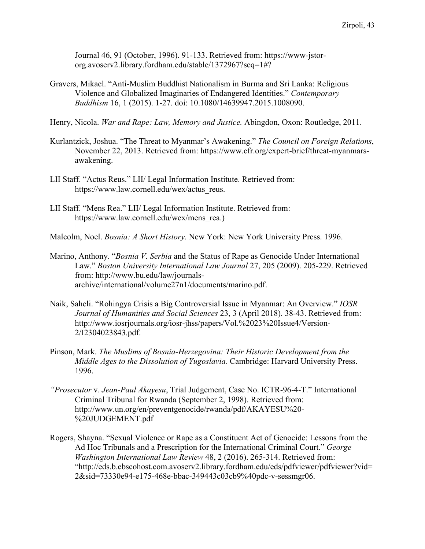Journal 46, 91 (October, 1996). 91-133. Retrieved from: https://www-jstororg.avoserv2.library.fordham.edu/stable/1372967?seq=1#?

- Gravers, Mikael. "Anti-Muslim Buddhist Nationalism in Burma and Sri Lanka: Religious Violence and Globalized Imaginaries of Endangered Identities." *Contemporary Buddhism* 16, 1 (2015). 1-27. doi: 10.1080/14639947.2015.1008090.
- Henry, Nicola. *War and Rape: Law, Memory and Justice.* Abingdon, Oxon: Routledge, 2011.
- Kurlantzick, Joshua. "The Threat to Myanmar's Awakening." *The Council on Foreign Relations*, November 22, 2013. Retrieved from: https://www.cfr.org/expert-brief/threat-myanmarsawakening.
- LII Staff. "Actus Reus." LII/ Legal Information Institute. Retrieved from: https://www.law.cornell.edu/wex/actus\_reus.
- LII Staff. "Mens Rea." LII/ Legal Information Institute. Retrieved from: https://www.law.cornell.edu/wex/mens\_rea.)
- Malcolm, Noel. *Bosnia: A Short History*. New York: New York University Press. 1996.
- Marino, Anthony. "*Bosnia V. Serbia* and the Status of Rape as Genocide Under International Law." *Boston University International Law Journal* 27, 205 (2009). 205-229. Retrieved from: http://www.bu.edu/law/journalsarchive/international/volume27n1/documents/marino.pdf.
- Naik, Saheli. "Rohingya Crisis a Big Controversial Issue in Myanmar: An Overview." *IOSR Journal of Humanities and Social Sciences* 23, 3 (April 2018). 38-43. Retrieved from: http://www.iosrjournals.org/iosr-jhss/papers/Vol.%2023%20Issue4/Version-2/I2304023843.pdf.
- Pinson, Mark. *The Muslims of Bosnia-Herzegovina: Their Historic Development from the Middle Ages to the Dissolution of Yugoslavia.* Cambridge: Harvard University Press. 1996.
- *"Prosecutor* v. *Jean-Paul Akayesu*, Trial Judgement, Case No. ICTR-96-4-T." International Criminal Tribunal for Rwanda (September 2, 1998). Retrieved from: http://www.un.org/en/preventgenocide/rwanda/pdf/AKAYESU%20- %20JUDGEMENT.pdf
- Rogers, Shayna. "Sexual Violence or Rape as a Constituent Act of Genocide: Lessons from the Ad Hoc Tribunals and a Prescription for the International Criminal Court." *George Washington International Law Review* 48, 2 (2016). 265-314. Retrieved from: "http://eds.b.ebscohost.com.avoserv2.library.fordham.edu/eds/pdfviewer/pdfviewer?vid= 2&sid=73330e94-e175-468e-bbac-349443c03cb9%40pdc-v-sessmgr06.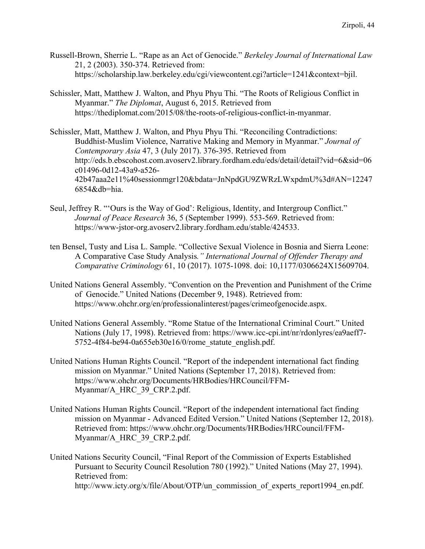- Russell-Brown, Sherrie L. "Rape as an Act of Genocide." *Berkeley Journal of International Law*  21, 2 (2003). 350-374. Retrieved from: https://scholarship.law.berkeley.edu/cgi/viewcontent.cgi?article=1241&context=bjil.
- Schissler, Matt, Matthew J. Walton, and Phyu Phyu Thi. "The Roots of Religious Conflict in Myanmar." *The Diplomat*, August 6, 2015. Retrieved from https://thediplomat.com/2015/08/the-roots-of-religious-conflict-in-myanmar.

Schissler, Matt, Matthew J. Walton, and Phyu Phyu Thi. "Reconciling Contradictions: Buddhist-Muslim Violence, Narrative Making and Memory in Myanmar." *Journal of Contemporary Asia* 47, 3 (July 2017). 376-395. Retrieved from http://eds.b.ebscohost.com.avoserv2.library.fordham.edu/eds/detail/detail?vid=6&sid=06 c01496-0d12-43a9-a526- 42b47aaa2e11%40sessionmgr120&bdata=JnNpdGU9ZWRzLWxpdmU%3d#AN=12247 6854&db=hia.

- Seul, Jeffrey R. "'Ours is the Way of God': Religious, Identity, and Intergroup Conflict." *Journal of Peace Research* 36, 5 (September 1999). 553-569. Retrieved from: https://www-jstor-org.avoserv2.library.fordham.edu/stable/424533.
- ten Bensel, Tusty and Lisa L. Sample. "Collective Sexual Violence in Bosnia and Sierra Leone: A Comparative Case Study Analysis*." International Journal of Offender Therapy and Comparative Criminology* 61, 10 (2017). 1075-1098. doi: 10,1177/0306624X15609704.
- United Nations General Assembly. "Convention on the Prevention and Punishment of the Crime of Genocide." United Nations (December 9, 1948). Retrieved from: https://www.ohchr.org/en/professionalinterest/pages/crimeofgenocide.aspx.
- United Nations General Assembly. "Rome Statue of the International Criminal Court." United Nations (July 17, 1998). Retrieved from: https://www.icc-cpi.int/nr/rdonlyres/ea9aeff7- 5752-4f84-be94-0a655eb30e16/0/rome\_statute\_english.pdf.
- United Nations Human Rights Council. "Report of the independent international fact finding mission on Myanmar." United Nations (September 17, 2018). Retrieved from: https://www.ohchr.org/Documents/HRBodies/HRCouncil/FFM-Myanmar/A\_HRC\_39\_CRP.2.pdf.
- United Nations Human Rights Council. "Report of the independent international fact finding mission on Myanmar - Advanced Edited Version." United Nations (September 12, 2018). Retrieved from: https://www.ohchr.org/Documents/HRBodies/HRCouncil/FFM-Myanmar/A\_HRC\_39\_CRP.2.pdf.
- United Nations Security Council, "Final Report of the Commission of Experts Established Pursuant to Security Council Resolution 780 (1992)." United Nations (May 27, 1994). Retrieved from: http://www.icty.org/x/file/About/OTP/un\_commission\_of\_experts\_report1994\_en.pdf.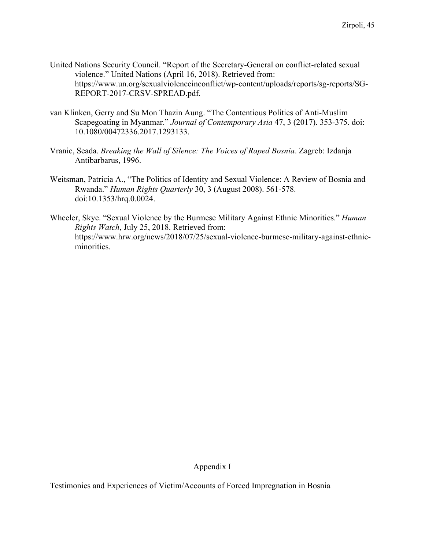- United Nations Security Council. "Report of the Secretary-General on conflict-related sexual violence." United Nations (April 16, 2018). Retrieved from: https://www.un.org/sexualviolenceinconflict/wp-content/uploads/reports/sg-reports/SG-REPORT-2017-CRSV-SPREAD.pdf.
- van Klinken, Gerry and Su Mon Thazin Aung. "The Contentious Politics of Anti-Muslim Scapegoating in Myanmar." *Journal of Contemporary Asia* 47, 3 (2017). 353-375. doi: 10.1080/00472336.2017.1293133.
- Vranic, Seada. *Breaking the Wall of Silence: The Voices of Raped Bosnia*. Zagreb: Izdanja Antibarbarus, 1996.
- Weitsman, Patricia A., "The Politics of Identity and Sexual Violence: A Review of Bosnia and Rwanda." *Human Rights Quarterly* 30, 3 (August 2008). 561-578. doi:10.1353/hrq.0.0024.
- Wheeler, Skye. "Sexual Violence by the Burmese Military Against Ethnic Minorities." *Human Rights Watch*, July 25, 2018. Retrieved from: https://www.hrw.org/news/2018/07/25/sexual-violence-burmese-military-against-ethnicminorities.

Appendix I

Testimonies and Experiences of Victim/Accounts of Forced Impregnation in Bosnia